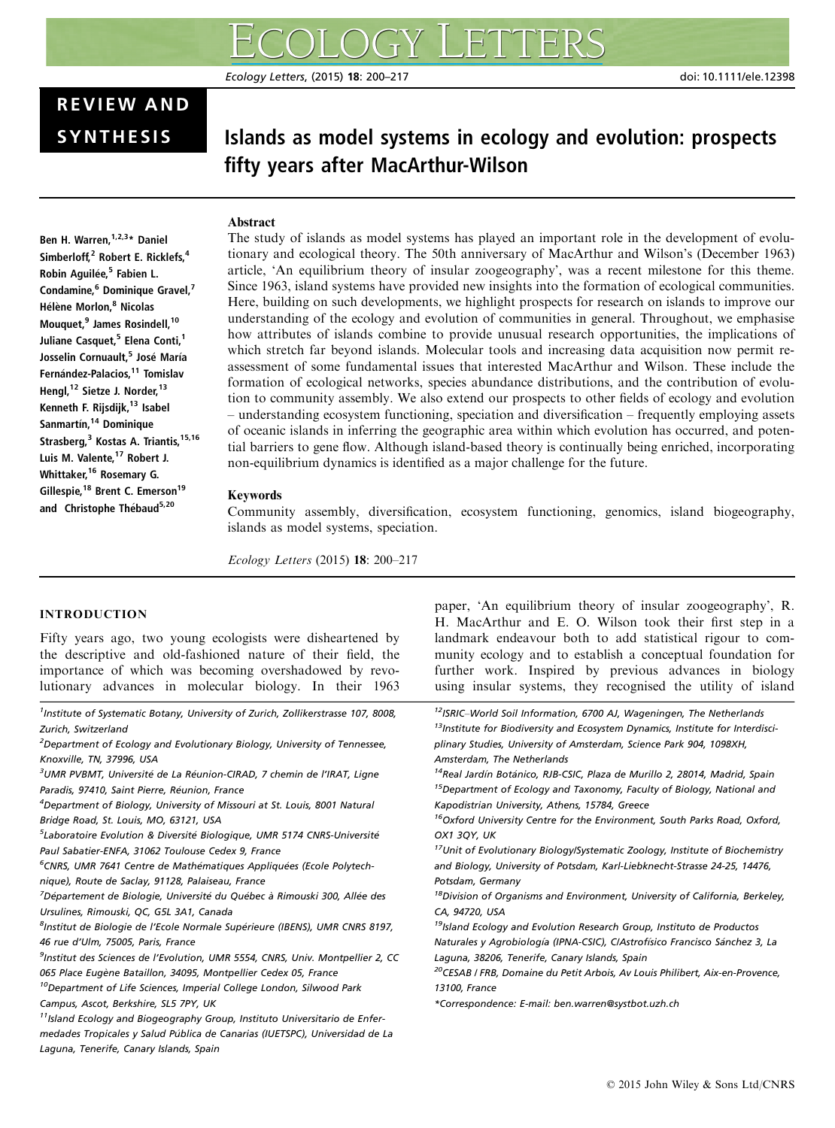# REVIEW AND

# SYNTHESIS Islands as model systems in ecology and evolution: prospects fifty years after MacArthur-Wilson

# Abstract

Ben H. Warren,  $1,2,3*$  Daniel Simberloff.<sup>2</sup> Robert E. Ricklefs.<sup>4</sup> Robin Aguilée.<sup>5</sup> Fabien L. Condamine,<sup>6</sup> Dominique Gravel,<sup>7</sup> Hélène Morlon,<sup>8</sup> Nicolas Mouquet,<sup>9</sup> James Rosindell,<sup>10</sup> Juliane Casquet,<sup>5</sup> Elena Conti,<sup>1</sup> Josselin Cornuault,<sup>5</sup> José María Fernández-Palacios,<sup>11</sup> Tomislav Hengl,<sup>12</sup> Sietze J. Norder,<sup>13</sup> Kenneth F. Rijsdijk,<sup>13</sup> Isabel Sanmartín, <sup>14</sup> Dominique Strasberg,<sup>3</sup> Kostas A. Triantis,<sup>15,16</sup> Luis M. Valente,<sup>17</sup> Robert J. Whittaker, <sup>16</sup> Rosemary G. Gillespie,<sup>18</sup> Brent C. Emerson<sup>19</sup> and Christophe Thébaud<sup>5,20</sup>

The study of islands as model systems has played an important role in the development of evolutionary and ecological theory. The 50th anniversary of MacArthur and Wilson's (December 1963) article, 'An equilibrium theory of insular zoogeography', was a recent milestone for this theme. Since 1963, island systems have provided new insights into the formation of ecological communities. Here, building on such developments, we highlight prospects for research on islands to improve our understanding of the ecology and evolution of communities in general. Throughout, we emphasise how attributes of islands combine to provide unusual research opportunities, the implications of which stretch far beyond islands. Molecular tools and increasing data acquisition now permit reassessment of some fundamental issues that interested MacArthur and Wilson. These include the formation of ecological networks, species abundance distributions, and the contribution of evolution to community assembly. We also extend our prospects to other fields of ecology and evolution – understanding ecosystem functioning, speciation and diversification – frequently employing assets of oceanic islands in inferring the geographic area within which evolution has occurred, and potential barriers to gene flow. Although island-based theory is continually being enriched, incorporating non-equilibrium dynamics is identified as a major challenge for the future.

# Keywords

Community assembly, diversification, ecosystem functioning, genomics, island biogeography, islands as model systems, speciation.

Ecology Letters (2015) 18: 200–217

# INTRODUCTION

Fifty years ago, two young ecologists were disheartened by the descriptive and old-fashioned nature of their field, the importance of which was becoming overshadowed by revolutionary advances in molecular biology. In their 1963

<sup>1</sup>Institute of Systematic Botany, University of Zurich, Zollikerstrasse 107, 8008, Zurich, Switzerland

<sup>2</sup>Department of Ecology and Evolutionary Biology, University of Tennessee, Knoxville, TN, 37996, USA

<sup>3</sup>UMR PVBMT, Université de La Réunion-CIRAD, 7 chemin de l'IRAT, Ligne Paradis, 97410, Saint Pierre, Réunion, France

4 Department of Biology, University of Missouri at St. Louis, 8001 Natural Bridge Road, St. Louis, MO, 63121, USA

<sup>5</sup>Laboratoire Evolution & Diversité Biologique, UMR 5174 CNRS-Université Paul Sabatier-ENFA, 31062 Toulouse Cedex 9, France

<sup>6</sup>CNRS, UMR 7641 Centre de Mathématiques Appliquées (Ecole Polytechnique), Route de Saclay, 91128, Palaiseau, France

 $^7$ Département de Biologie, Université du Québec à Rimouski 300, Allée des Ursulines, Rimouski, QC, G5L 3A1, Canada

<sup>8</sup>Institut de Biologie de l'Ecole Normale Supérieure (IBENS), UMR CNRS 8197, 46 rue d'Ulm, 75005, Paris, France

<sup>9</sup>Institut des Sciences de l'Evolution, UMR 5554, CNRS, Univ. Montpellier 2, CC 065 Place Eugène Bataillon, 34095, Montpellier Cedex 05, France

<sup>10</sup>Department of Life Sciences, Imperial College London, Silwood Park Campus, Ascot, Berkshire, SL5 7PY, UK

 $11$ Island Ecology and Biogeography Group, Instituto Universitario de Enfermedades Tropicales y Salud Publica de Canarias (IUETSPC), Universidad de La Laguna, Tenerife, Canary Islands, Spain

paper, 'An equilibrium theory of insular zoogeography', R. H. MacArthur and E. O. Wilson took their first step in a landmark endeavour both to add statistical rigour to community ecology and to establish a conceptual foundation for further work. Inspired by previous advances in biology using insular systems, they recognised the utility of island

12ISRIC-World Soil Information, 6700 AJ, Wageningen, The Netherlands  $13$ Institute for Biodiversity and Ecosystem Dynamics, Institute for Interdisciplinary Studies, University of Amsterdam, Science Park 904, 1098XH, Amsterdam, The Netherlands <sup>14</sup>Real Jardín Botánico, RJB-CSIC, Plaza de Murillo 2, 28014, Madrid, Spain <sup>15</sup>Department of Ecology and Taxonomy, Faculty of Biology, National and Kapodistrian University, Athens, 15784, Greece <sup>16</sup>Oxford University Centre for the Environment, South Parks Road, Oxford, OX1 3QY, UK <sup>17</sup>Unit of Evolutionary Biology/Systematic Zoology, Institute of Biochemistry and Biology, University of Potsdam, Karl-Liebknecht-Strasse 24-25, 14476, Potsdam, Germany  $18$ Division of Organisms and Environment, University of California, Berkeley, CA, 94720, USA

<sup>19</sup>Island Ecology and Evolution Research Group, Instituto de Productos Naturales y Agrobiología (IPNA-CSIC), C/Astrofísico Francisco Sánchez 3, La Laguna, 38206, Tenerife, Canary Islands, Spain

<sup>20</sup>CESAB / FRB, Domaine du Petit Arbois, Av Louis Philibert, Aix-en-Provence, 13100, France

\*Correspondence: E-mail: ben.warren@systbot.uzh.ch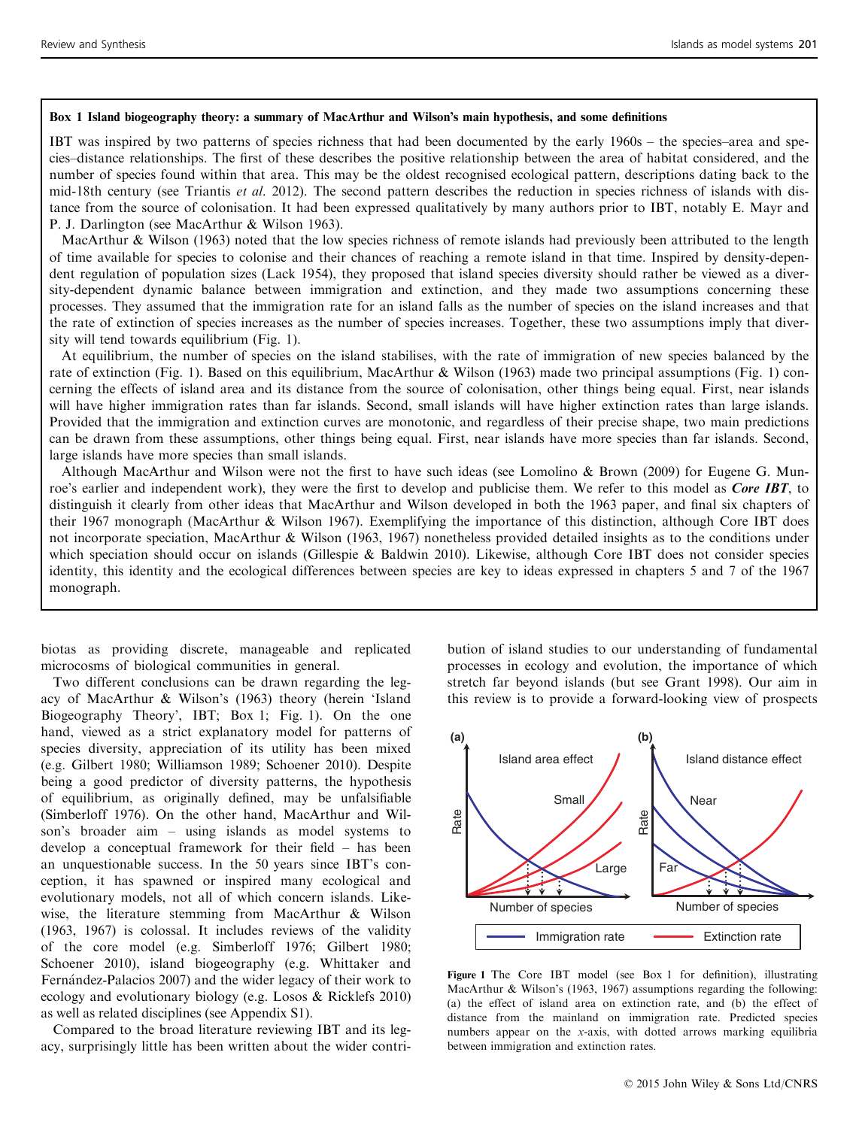#### Box 1 Island biogeography theory: a summary of MacArthur and Wilson's main hypothesis, and some definitions

IBT was inspired by two patterns of species richness that had been documented by the early 1960s – the species–area and species–distance relationships. The first of these describes the positive relationship between the area of habitat considered, and the number of species found within that area. This may be the oldest recognised ecological pattern, descriptions dating back to the mid-18th century (see Triantis *et al.* 2012). The second pattern describes the reduction in species richness of islands with distance from the source of colonisation. It had been expressed qualitatively by many authors prior to IBT, notably E. Mayr and P. J. Darlington (see MacArthur & Wilson 1963).

MacArthur & Wilson (1963) noted that the low species richness of remote islands had previously been attributed to the length of time available for species to colonise and their chances of reaching a remote island in that time. Inspired by density-dependent regulation of population sizes (Lack 1954), they proposed that island species diversity should rather be viewed as a diversity-dependent dynamic balance between immigration and extinction, and they made two assumptions concerning these processes. They assumed that the immigration rate for an island falls as the number of species on the island increases and that the rate of extinction of species increases as the number of species increases. Together, these two assumptions imply that diversity will tend towards equilibrium (Fig. 1).

At equilibrium, the number of species on the island stabilises, with the rate of immigration of new species balanced by the rate of extinction (Fig. 1). Based on this equilibrium, MacArthur & Wilson (1963) made two principal assumptions (Fig. 1) concerning the effects of island area and its distance from the source of colonisation, other things being equal. First, near islands will have higher immigration rates than far islands. Second, small islands will have higher extinction rates than large islands. Provided that the immigration and extinction curves are monotonic, and regardless of their precise shape, two main predictions can be drawn from these assumptions, other things being equal. First, near islands have more species than far islands. Second, large islands have more species than small islands.

Although MacArthur and Wilson were not the first to have such ideas (see Lomolino & Brown (2009) for Eugene G. Munroe's earlier and independent work), they were the first to develop and publicise them. We refer to this model as *Core IBT*, to distinguish it clearly from other ideas that MacArthur and Wilson developed in both the 1963 paper, and final six chapters of their 1967 monograph (MacArthur & Wilson 1967). Exemplifying the importance of this distinction, although Core IBT does not incorporate speciation, MacArthur & Wilson (1963, 1967) nonetheless provided detailed insights as to the conditions under which speciation should occur on islands (Gillespie & Baldwin 2010). Likewise, although Core IBT does not consider species identity, this identity and the ecological differences between species are key to ideas expressed in chapters 5 and 7 of the 1967 monograph.

biotas as providing discrete, manageable and replicated microcosms of biological communities in general.

Two different conclusions can be drawn regarding the legacy of MacArthur & Wilson's (1963) theory (herein 'Island Biogeography Theory', IBT; Box 1; Fig. 1). On the one hand, viewed as a strict explanatory model for patterns of species diversity, appreciation of its utility has been mixed (e.g. Gilbert 1980; Williamson 1989; Schoener 2010). Despite being a good predictor of diversity patterns, the hypothesis of equilibrium, as originally defined, may be unfalsifiable (Simberloff 1976). On the other hand, MacArthur and Wilson's broader aim – using islands as model systems to develop a conceptual framework for their field – has been an unquestionable success. In the 50 years since IBT's conception, it has spawned or inspired many ecological and evolutionary models, not all of which concern islands. Likewise, the literature stemming from MacArthur & Wilson (1963, 1967) is colossal. It includes reviews of the validity of the core model (e.g. Simberloff 1976; Gilbert 1980; Schoener 2010), island biogeography (e.g. Whittaker and Fernández-Palacios 2007) and the wider legacy of their work to ecology and evolutionary biology (e.g. Losos & Ricklefs 2010) as well as related disciplines (see Appendix S1).

Compared to the broad literature reviewing IBT and its legacy, surprisingly little has been written about the wider contribution of island studies to our understanding of fundamental processes in ecology and evolution, the importance of which stretch far beyond islands (but see Grant 1998). Our aim in this review is to provide a forward-looking view of prospects



Figure 1 The Core IBT model (see Box 1 for definition), illustrating MacArthur & Wilson's (1963, 1967) assumptions regarding the following: (a) the effect of island area on extinction rate, and (b) the effect of distance from the mainland on immigration rate. Predicted species numbers appear on the x-axis, with dotted arrows marking equilibria between immigration and extinction rates.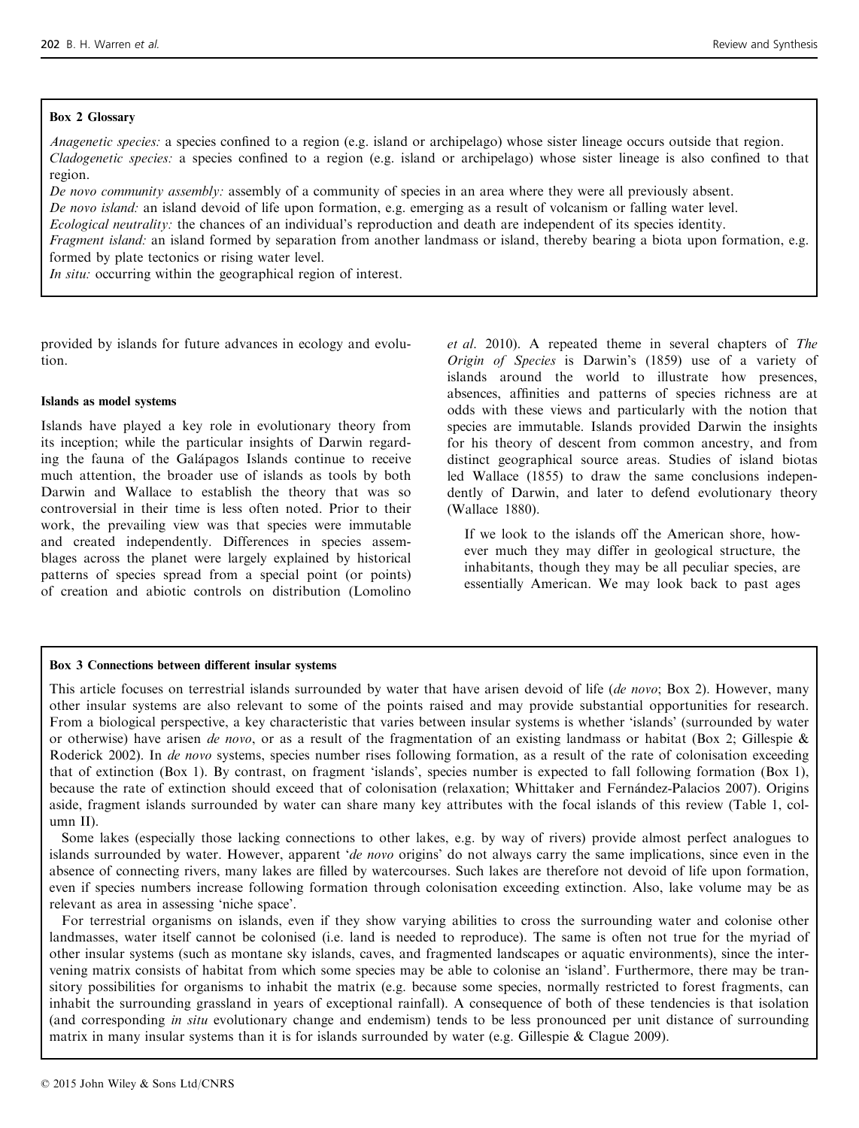# Box 2 Glossary

Anagenetic species: a species confined to a region (e.g. island or archipelago) whose sister lineage occurs outside that region. Cladogenetic species: a species confined to a region (e.g. island or archipelago) whose sister lineage is also confined to that region.

De novo community assembly: assembly of a community of species in an area where they were all previously absent.

De novo island: an island devoid of life upon formation, e.g. emerging as a result of volcanism or falling water level.

Ecological neutrality: the chances of an individual's reproduction and death are independent of its species identity.

Fragment island: an island formed by separation from another landmass or island, thereby bearing a biota upon formation, e.g. formed by plate tectonics or rising water level.

In situ: occurring within the geographical region of interest.

provided by islands for future advances in ecology and evolution.

#### Islands as model systems

Islands have played a key role in evolutionary theory from its inception; while the particular insights of Darwin regarding the fauna of the Galapagos Islands continue to receive much attention, the broader use of islands as tools by both Darwin and Wallace to establish the theory that was so controversial in their time is less often noted. Prior to their work, the prevailing view was that species were immutable and created independently. Differences in species assemblages across the planet were largely explained by historical patterns of species spread from a special point (or points) of creation and abiotic controls on distribution (Lomolino et al. 2010). A repeated theme in several chapters of The Origin of Species is Darwin's (1859) use of a variety of islands around the world to illustrate how presences, absences, affinities and patterns of species richness are at odds with these views and particularly with the notion that species are immutable. Islands provided Darwin the insights for his theory of descent from common ancestry, and from distinct geographical source areas. Studies of island biotas led Wallace (1855) to draw the same conclusions independently of Darwin, and later to defend evolutionary theory (Wallace 1880).

If we look to the islands off the American shore, however much they may differ in geological structure, the inhabitants, though they may be all peculiar species, are essentially American. We may look back to past ages

#### Box 3 Connections between different insular systems

This article focuses on terrestrial islands surrounded by water that have arisen devoid of life (de novo; Box 2). However, many other insular systems are also relevant to some of the points raised and may provide substantial opportunities for research. From a biological perspective, a key characteristic that varies between insular systems is whether 'islands' (surrounded by water or otherwise) have arisen de novo, or as a result of the fragmentation of an existing landmass or habitat (Box 2; Gillespie  $\&$ Roderick 2002). In de novo systems, species number rises following formation, as a result of the rate of colonisation exceeding that of extinction (Box 1). By contrast, on fragment 'islands', species number is expected to fall following formation (Box 1), because the rate of extinction should exceed that of colonisation (relaxation; Whittaker and Fernández-Palacios 2007). Origins aside, fragment islands surrounded by water can share many key attributes with the focal islands of this review (Table 1, column II).

Some lakes (especially those lacking connections to other lakes, e.g. by way of rivers) provide almost perfect analogues to islands surrounded by water. However, apparent 'de novo origins' do not always carry the same implications, since even in the absence of connecting rivers, many lakes are filled by watercourses. Such lakes are therefore not devoid of life upon formation, even if species numbers increase following formation through colonisation exceeding extinction. Also, lake volume may be as relevant as area in assessing 'niche space'.

For terrestrial organisms on islands, even if they show varying abilities to cross the surrounding water and colonise other landmasses, water itself cannot be colonised (i.e. land is needed to reproduce). The same is often not true for the myriad of other insular systems (such as montane sky islands, caves, and fragmented landscapes or aquatic environments), since the intervening matrix consists of habitat from which some species may be able to colonise an 'island'. Furthermore, there may be transitory possibilities for organisms to inhabit the matrix (e.g. because some species, normally restricted to forest fragments, can inhabit the surrounding grassland in years of exceptional rainfall). A consequence of both of these tendencies is that isolation (and corresponding in situ evolutionary change and endemism) tends to be less pronounced per unit distance of surrounding matrix in many insular systems than it is for islands surrounded by water (e.g. Gillespie & Clague 2009).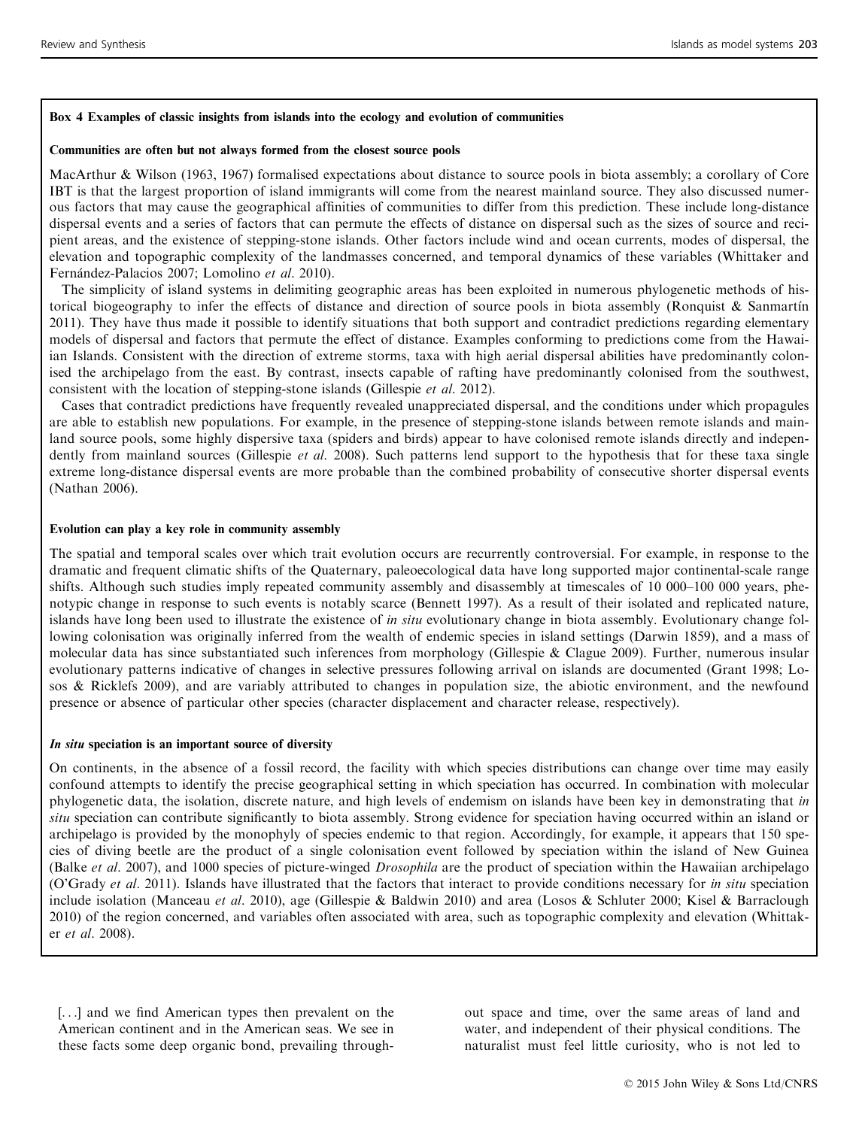#### Box 4 Examples of classic insights from islands into the ecology and evolution of communities

#### Communities are often but not always formed from the closest source pools

MacArthur & Wilson (1963, 1967) formalised expectations about distance to source pools in biota assembly; a corollary of Core IBT is that the largest proportion of island immigrants will come from the nearest mainland source. They also discussed numerous factors that may cause the geographical affinities of communities to differ from this prediction. These include long-distance dispersal events and a series of factors that can permute the effects of distance on dispersal such as the sizes of source and recipient areas, and the existence of stepping-stone islands. Other factors include wind and ocean currents, modes of dispersal, the elevation and topographic complexity of the landmasses concerned, and temporal dynamics of these variables (Whittaker and Fernández-Palacios 2007; Lomolino et al. 2010).

The simplicity of island systems in delimiting geographic areas has been exploited in numerous phylogenetic methods of historical biogeography to infer the effects of distance and direction of source pools in biota assembly (Ronquist & Sanmartín 2011). They have thus made it possible to identify situations that both support and contradict predictions regarding elementary models of dispersal and factors that permute the effect of distance. Examples conforming to predictions come from the Hawaiian Islands. Consistent with the direction of extreme storms, taxa with high aerial dispersal abilities have predominantly colonised the archipelago from the east. By contrast, insects capable of rafting have predominantly colonised from the southwest, consistent with the location of stepping-stone islands (Gillespie et al. 2012).

Cases that contradict predictions have frequently revealed unappreciated dispersal, and the conditions under which propagules are able to establish new populations. For example, in the presence of stepping-stone islands between remote islands and mainland source pools, some highly dispersive taxa (spiders and birds) appear to have colonised remote islands directly and independently from mainland sources (Gillespie et al. 2008). Such patterns lend support to the hypothesis that for these taxa single extreme long-distance dispersal events are more probable than the combined probability of consecutive shorter dispersal events (Nathan 2006).

#### Evolution can play a key role in community assembly

The spatial and temporal scales over which trait evolution occurs are recurrently controversial. For example, in response to the dramatic and frequent climatic shifts of the Quaternary, paleoecological data have long supported major continental-scale range shifts. Although such studies imply repeated community assembly and disassembly at timescales of 10 000–100 000 years, phenotypic change in response to such events is notably scarce (Bennett 1997). As a result of their isolated and replicated nature, islands have long been used to illustrate the existence of *in situ* evolutionary change in biota assembly. Evolutionary change following colonisation was originally inferred from the wealth of endemic species in island settings (Darwin 1859), and a mass of molecular data has since substantiated such inferences from morphology (Gillespie & Clague 2009). Further, numerous insular evolutionary patterns indicative of changes in selective pressures following arrival on islands are documented (Grant 1998; Losos & Ricklefs 2009), and are variably attributed to changes in population size, the abiotic environment, and the newfound presence or absence of particular other species (character displacement and character release, respectively).

# In situ speciation is an important source of diversity

On continents, in the absence of a fossil record, the facility with which species distributions can change over time may easily confound attempts to identify the precise geographical setting in which speciation has occurred. In combination with molecular phylogenetic data, the isolation, discrete nature, and high levels of endemism on islands have been key in demonstrating that in situ speciation can contribute significantly to biota assembly. Strong evidence for speciation having occurred within an island or archipelago is provided by the monophyly of species endemic to that region. Accordingly, for example, it appears that 150 species of diving beetle are the product of a single colonisation event followed by speciation within the island of New Guinea (Balke et al. 2007), and 1000 species of picture-winged *Drosophila* are the product of speciation within the Hawaiian archipelago (O'Grady et al. 2011). Islands have illustrated that the factors that interact to provide conditions necessary for in situ speciation include isolation (Manceau et al. 2010), age (Gillespie & Baldwin 2010) and area (Losos & Schluter 2000; Kisel & Barraclough 2010) of the region concerned, and variables often associated with area, such as topographic complexity and elevation (Whittaker et al. 2008).

[...] and we find American types then prevalent on the American continent and in the American seas. We see in these facts some deep organic bond, prevailing throughout space and time, over the same areas of land and water, and independent of their physical conditions. The naturalist must feel little curiosity, who is not led to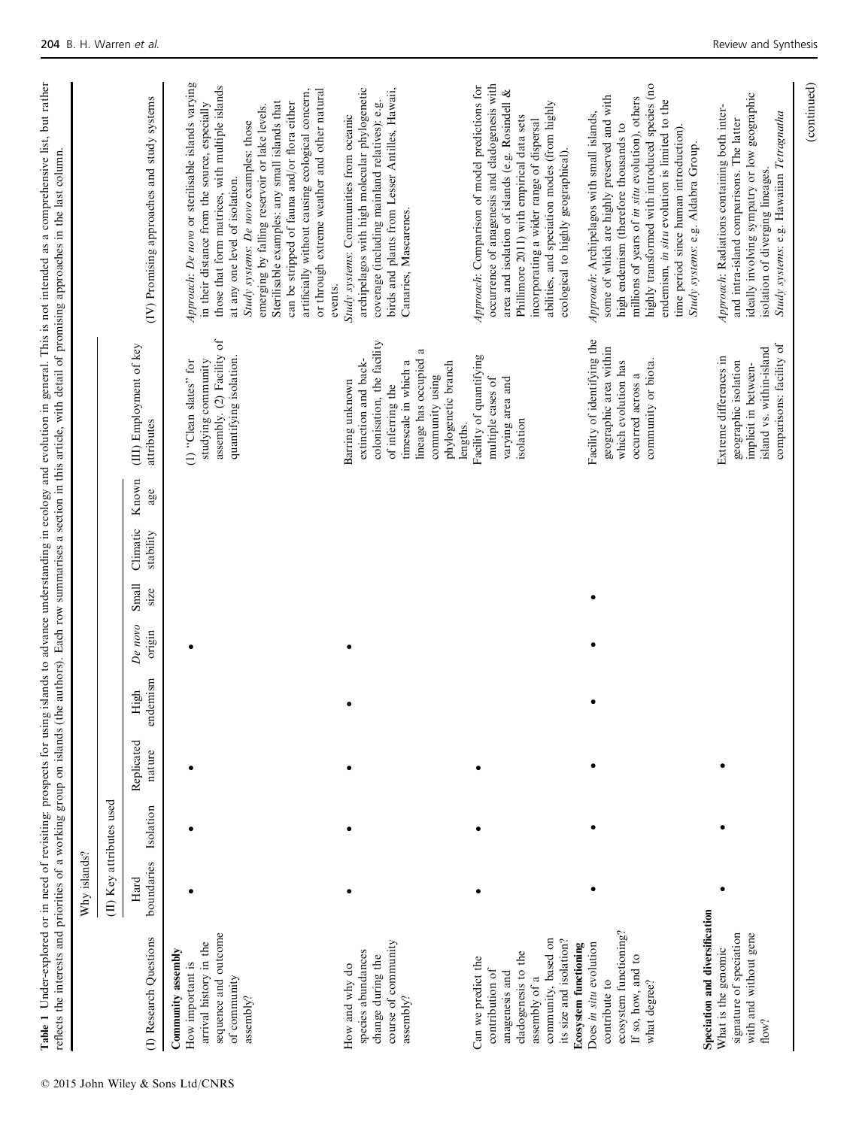| reflects the interests and priorities of a working group on islands (                                                                                                             | Why islands?       |                          |                      | the authors). Each row summarises a section in this article, with detail of promising approaches in the last column. |                   |               |                       |              |                                                                                                                                                                                                                      |                                                                                                                                                                                                                                                                                                                                                                                                                                                                                                    |
|-----------------------------------------------------------------------------------------------------------------------------------------------------------------------------------|--------------------|--------------------------|----------------------|----------------------------------------------------------------------------------------------------------------------|-------------------|---------------|-----------------------|--------------|----------------------------------------------------------------------------------------------------------------------------------------------------------------------------------------------------------------------|----------------------------------------------------------------------------------------------------------------------------------------------------------------------------------------------------------------------------------------------------------------------------------------------------------------------------------------------------------------------------------------------------------------------------------------------------------------------------------------------------|
|                                                                                                                                                                                   |                    | (II) Key attributes used |                      |                                                                                                                      |                   |               |                       |              |                                                                                                                                                                                                                      |                                                                                                                                                                                                                                                                                                                                                                                                                                                                                                    |
| (I) Research Questions                                                                                                                                                            | boundaries<br>Hard | Isolation                | Replicated<br>nature | ndenism<br>High                                                                                                      | De novo<br>origin | Small<br>size | Climatic<br>stability | Known<br>age | (II) Employment of key<br>attributes                                                                                                                                                                                 | (IV) Promising approaches and study systems                                                                                                                                                                                                                                                                                                                                                                                                                                                        |
| sequence and outcome<br>arrival history in the<br>Community assembly<br>How important is<br>of community<br>assembly?                                                             |                    |                          |                      |                                                                                                                      |                   |               |                       |              | assembly. (2) Facility of<br>quantifying isolation.<br>studying community<br>(1) "Clean slates" for                                                                                                                  | Approach: De novo or sterilisable islands varying<br>those that form matrices, with multiple islands<br>or through extreme weather and other natural<br>artificially without causing ecological concern,<br>can be stripped of fauna and/or flora either<br>Sterilisable examples: any small islands that<br>in their distance from the source, especially<br>emerging by falling reservoir or lake levels.<br>Study systems: De novo examples: those<br>at any one level of isolation.<br>events. |
| course of community<br>species abundances<br>change during the<br>How and why do<br>assembly?                                                                                     |                    |                          |                      |                                                                                                                      |                   |               |                       |              | colonisation, the facility<br>a<br>lineage has occupied<br>extinction and back-<br>$\mathfrak{a}$<br>phylogenetic branch<br>timescale in which<br>community using<br>Barring unknown<br>of inferring the<br>lengths. | archipelagos with high molecular phylogenetic<br>birds and plants from Lesser Antilles, Hawaii,<br>coverage (including mainland relatives): e.g.<br>Study systems: Communities from oceanic<br>Canaries, Mascarenes.                                                                                                                                                                                                                                                                               |
| community, based on<br>its size and isolation?<br><b>Ecosystem functioning</b><br>cladogenesis to the<br>Can we predict the<br>contribution of<br>anagenesis and<br>assembly of a |                    |                          |                      |                                                                                                                      |                   |               |                       |              | Facility of quantifying<br>multiple cases of<br>varying area and<br>isolation                                                                                                                                        | occurrence of anagenesis and cladogenesis with<br>Approach: Comparison of model predictions for<br>area and isolation of islands (e.g. Rosindell &<br>abilities, and speciation modes (from highly<br>Phillimore 2011) with empirical data sets<br>incorporating a wider range of dispersal<br>ecological to highly geographical).                                                                                                                                                                 |
| ecosystem functioning?<br>Does in situ evolution<br>If so, how, and to<br>contribute to<br>what degree?                                                                           |                    |                          | ٠                    |                                                                                                                      |                   |               |                       |              | Facility of identifying the<br>geographic area within<br>community or biota.<br>which evolution has<br>occurred across a                                                                                             | highly transformed with introduced species (no<br>some of which are highly preserved and with<br>millions of years of in situ evolution), others<br>endemism, in situ evolution is limited to the<br>Approach: Archipelagos with small islands,<br>high endemism (therefore thousands to<br>time period since human introduction).<br>Study systems: e.g. Aldabra Group.                                                                                                                           |
| Speciation and diversification<br>signature of speciation<br>with and without gene<br>What is the genomic<br>flow?                                                                |                    |                          |                      |                                                                                                                      |                   |               |                       |              | comparisons: facility of<br>island vs. within-island<br>Extreme differences in<br>geographic isolation<br>implicit in between-                                                                                       | ideally involving sympatry or low geographic<br>Approach: Radiations containing both inter-<br>Study systems: e.g. Hawaiian Tetragnatha<br>and intra-island comparisons. The latter<br>isolation of diverging lineages.                                                                                                                                                                                                                                                                            |

(continued)

(continued)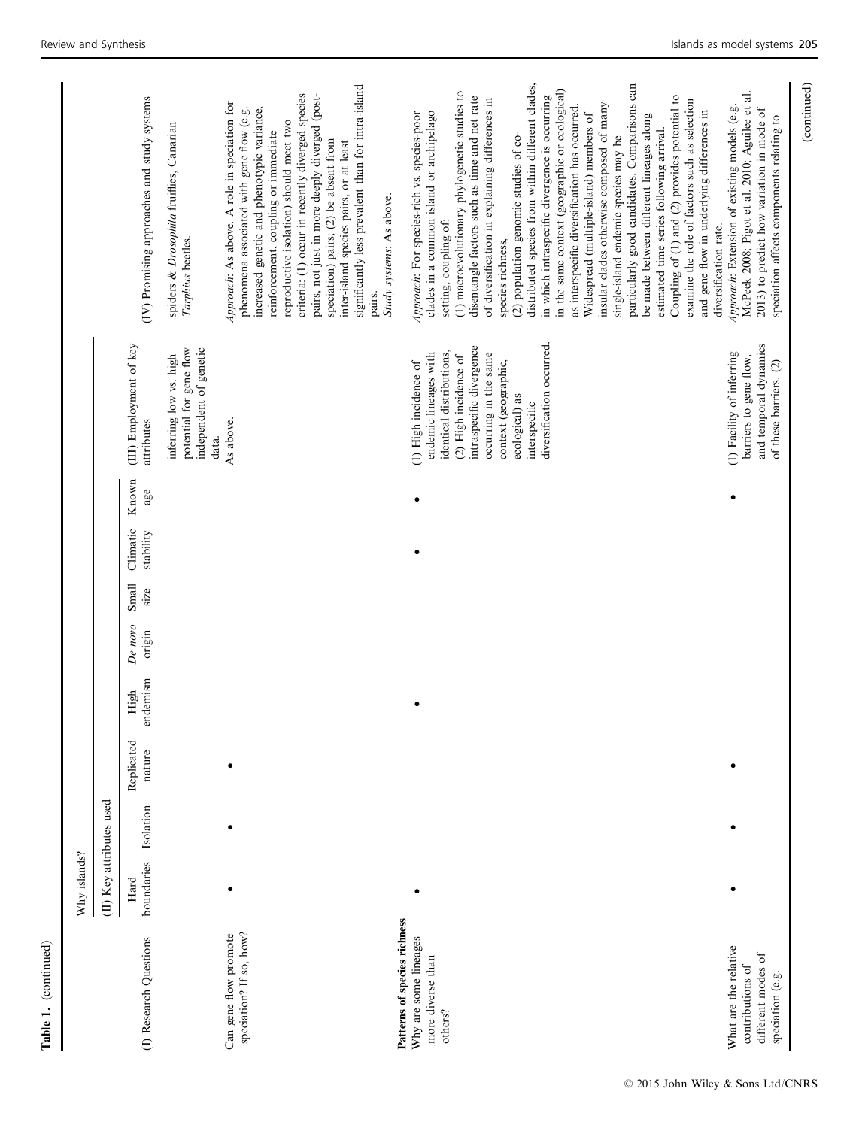|                                                                                     | Why islands?             |           |                      |                  |                     |               |                       |              |                                                                                                                                                                                                                                                  |                                                                                                                                                                                                                                                                                                                                                                                                                                                                                                                                                                                                                                                                                                                                                                                                                                                                                                                                                                                                  |
|-------------------------------------------------------------------------------------|--------------------------|-----------|----------------------|------------------|---------------------|---------------|-----------------------|--------------|--------------------------------------------------------------------------------------------------------------------------------------------------------------------------------------------------------------------------------------------------|--------------------------------------------------------------------------------------------------------------------------------------------------------------------------------------------------------------------------------------------------------------------------------------------------------------------------------------------------------------------------------------------------------------------------------------------------------------------------------------------------------------------------------------------------------------------------------------------------------------------------------------------------------------------------------------------------------------------------------------------------------------------------------------------------------------------------------------------------------------------------------------------------------------------------------------------------------------------------------------------------|
|                                                                                     | (II) Key attributes used |           |                      |                  |                     |               |                       |              |                                                                                                                                                                                                                                                  |                                                                                                                                                                                                                                                                                                                                                                                                                                                                                                                                                                                                                                                                                                                                                                                                                                                                                                                                                                                                  |
| (I) Research Questions                                                              | boundaries<br>Hard       | Isolation | Replicated<br>nature | endemism<br>High | $De$ novo<br>origin | Small<br>size | Climatic<br>stability | Known<br>age | (III) Employment of key<br>attributes                                                                                                                                                                                                            | (IV) Promising approaches and study systems                                                                                                                                                                                                                                                                                                                                                                                                                                                                                                                                                                                                                                                                                                                                                                                                                                                                                                                                                      |
|                                                                                     |                          |           |                      |                  |                     |               |                       |              | potential for gene flow<br>independent of genetic<br>inferring low vs. high<br>data.                                                                                                                                                             | spiders & Drosophila fruiflies, Canarian<br>Tarphius beetles.                                                                                                                                                                                                                                                                                                                                                                                                                                                                                                                                                                                                                                                                                                                                                                                                                                                                                                                                    |
| speciation? If so, how?<br>Can gene flow promote                                    |                          |           |                      |                  |                     |               |                       |              | As above.                                                                                                                                                                                                                                        | significantly less prevalent than for intra-island<br>criteria: (1) occur in recently diverged species<br>pairs, not just in more deeply diverged (post-<br>Approach: As above. A role in speciation for<br>increased genetic and phenotypic variance,<br>phenomena associated with gene flow (e.g.<br>reproductive isolation) should meet two<br>reinforcement, coupling or immediate<br>speciation) pairs; (2) be absent from<br>inter-island species pairs, or at least<br>pairs.                                                                                                                                                                                                                                                                                                                                                                                                                                                                                                             |
| Patterns of species richness                                                        |                          |           |                      |                  |                     |               |                       |              |                                                                                                                                                                                                                                                  | Study systems: As above.                                                                                                                                                                                                                                                                                                                                                                                                                                                                                                                                                                                                                                                                                                                                                                                                                                                                                                                                                                         |
| Why are some lineages<br>more diverse than<br>others?                               |                          |           |                      |                  |                     |               |                       |              | diversification occurred.<br>intraspecific divergence<br>identical distributions,<br>occurring in the same<br>endemic lineages with<br>(2) High incidence of<br>(1) High incidence of<br>context (geographic,<br>ecological) as<br>interspecific | distributed species from within different clades,<br>particularly good candidates. Comparisons can<br>in the same context (geographic or ecological)<br>(1) macroevolutionary phylogenetic studies to<br>in which intraspecific divergence is occurring<br>Coupling of (1) and (2) provides potential to<br>disentangle factors such as time and net rate<br>of diversification in explaining differences in<br>examine the role of factors such as selection<br>insular clades otherwise composed of many<br>as interspecific diversification has occurred.<br>and gene flow in underlying differences in<br>clades in a common island or archipelago<br>Approach: For species-rich vs. species-poor<br>Widespread (multiple-island) members of<br>be made between different lineages along<br>estimated time series following arrival.<br>(2) population genomic studies of co-<br>single-island endemic species may be<br>setting, coupling of:<br>diversification rate.<br>species richness, |
| What are the relative<br>different modes of<br>contributions of<br>speciation (e.g. |                          |           |                      |                  |                     |               |                       |              | and temporal dynamics<br>(1) Facility of inferring<br>barriers to gene flow,<br>of these barriers. (2)                                                                                                                                           | McPeek 2008; Pigot et al. 2010; Aguilee et al.<br>Approach: Extension of existing models (e.g.<br>2013) to predict how variation in mode of<br>speciation affects components relating to                                                                                                                                                                                                                                                                                                                                                                                                                                                                                                                                                                                                                                                                                                                                                                                                         |

(continued)

(continued)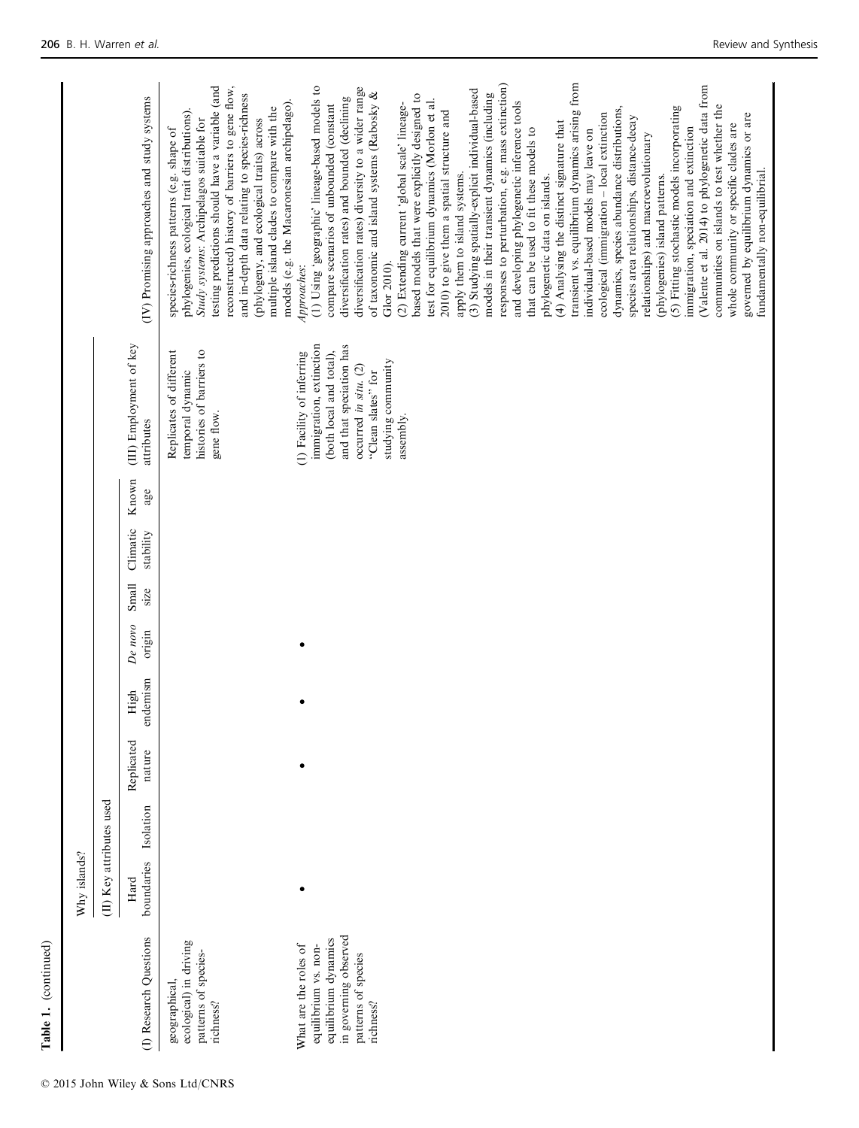© 2015 John Wiley & Sons Ltd/CNRS

|                                                                                                                                    | Why islands?                 |                      |                  |                   |               |                             |     |                                                                                                                                                                                              |                                                                                                                                                                                                                                                                                                                                                                                                                                                                                                                             |
|------------------------------------------------------------------------------------------------------------------------------------|------------------------------|----------------------|------------------|-------------------|---------------|-----------------------------|-----|----------------------------------------------------------------------------------------------------------------------------------------------------------------------------------------------|-----------------------------------------------------------------------------------------------------------------------------------------------------------------------------------------------------------------------------------------------------------------------------------------------------------------------------------------------------------------------------------------------------------------------------------------------------------------------------------------------------------------------------|
|                                                                                                                                    | (II) Key attributes used     |                      |                  |                   |               |                             |     |                                                                                                                                                                                              |                                                                                                                                                                                                                                                                                                                                                                                                                                                                                                                             |
| (I) Research Questions                                                                                                             | boundaries Isolation<br>Hard | Replicated<br>nature | endemism<br>High | De novo<br>origin | Small<br>size | Climatic Known<br>stability | age | (III) Employment of key<br>attributes                                                                                                                                                        | (IV) Promising approaches and study systems                                                                                                                                                                                                                                                                                                                                                                                                                                                                                 |
| ecological) in driving<br>patterns of species-<br>geographical.<br>richness?                                                       |                              |                      |                  |                   |               |                             |     | histories of barriers to<br>Replicates of different<br>temporal dynamic<br>gene flow.                                                                                                        | reconstructed) history of barriers to gene flow,<br>testing predictions should have a variable (and<br>and in-depth data relating to species-richness<br>multiple island clades to compare with the<br>phylogenies, ecological trait distributions).<br>Study systems: Archipelagos suitable for<br>(phylogeny, and ecological traits) across<br>species-richness patterns (e.g. shape of                                                                                                                                   |
| in governing observed<br>equilibrium dynamics<br>What are the roles of<br>equilibrium vs. non-<br>patterns of species<br>richness? |                              |                      |                  |                   |               |                             |     | immigration, extinction<br>and that speciation has<br>(1) Facility of inferring<br>(both local and total),<br>studying community<br>occurred in situ. (2)<br>"Clean slates" for<br>assembly. | (1) Using 'geographic' lineage-based models to<br>diversification rates) diversity to a wider range<br>of taxonomic and island systems (Rabosky &<br>based models that were explicitly designed to<br>diversification rates) and bounded (declining<br>test for equilibrium dynamics (Morlon et al.<br>models (e.g. the Macaronesian archipelago).<br>(2) Extending current 'global scale' lineage-<br>compare scenarios of unbounded (constant<br>2010) to give them a spatial structure and<br>Glor 2010).<br>Approaches: |

apply them to island systems.

apply them to island systems.

(3) Studying spatially-explicit individual-based models in their transient dynamics (including responses to perturbation, e.g. mass extinction) and developing phylogenetic inference tools that can be used to fit these models to phylogenetic data on islands.

models in their transient dynamics (including

(3) Studying spatially-explicit individual-based

responses to perturbation, e.g. mass extinction)

and developing phylogenetic inference tools

that can be used to fit these models to

phylogenetic data on islands.

(4) Analysing the distinct signature that transient vs. equilibrium dynamics arising from individual-based models may leave on ecological (immigration – local extinction dynamics, species abundance distributions, species area relationships, distance-decay relationships) and macroevolutionary (phylogenies) island patterns.

(4) Analysing the distinct signature that

transient vs. equilibrium dynamics arising from

individual-based models may leave on

dynamics, species abundance distributions, ecological (immigration - local extinction

species area relationships, distance-decay

relationships) and macroevolutionary

(phylogenies) island patterns.

(5) Fitting stochastic models incorporating immigration, speciation and extinction (Valente et al. 2014) to phylogenetic data from communities on islands to test whether the whole community or specific clades are governed by equilibrium dynamics or are

immigration, speciation and extinction

(5) Fitting stochastic models incorporating

(Valente et al. 2014) to phylogenetic data from

communities on islands to test whether the

whole community or specific clades are

fundamentally non-equilibrial.

governed by equilibrium dynamics or are<br>fundamentally non-equilibrial.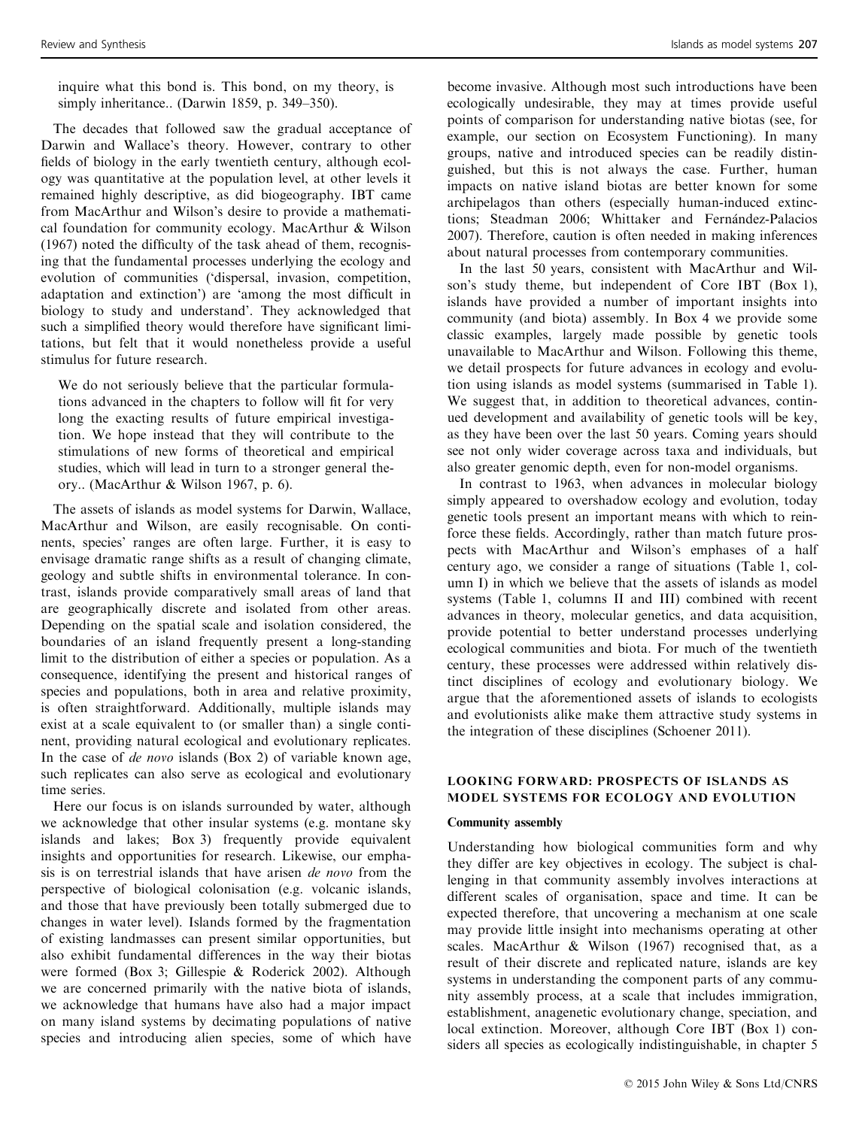inquire what this bond is. This bond, on my theory, is simply inheritance.. (Darwin 1859, p. 349–350).

The decades that followed saw the gradual acceptance of Darwin and Wallace's theory. However, contrary to other fields of biology in the early twentieth century, although ecology was quantitative at the population level, at other levels it remained highly descriptive, as did biogeography. IBT came from MacArthur and Wilson's desire to provide a mathematical foundation for community ecology. MacArthur & Wilson (1967) noted the difficulty of the task ahead of them, recognising that the fundamental processes underlying the ecology and evolution of communities ('dispersal, invasion, competition, adaptation and extinction') are 'among the most difficult in biology to study and understand'. They acknowledged that such a simplified theory would therefore have significant limitations, but felt that it would nonetheless provide a useful stimulus for future research.

We do not seriously believe that the particular formulations advanced in the chapters to follow will fit for very long the exacting results of future empirical investigation. We hope instead that they will contribute to the stimulations of new forms of theoretical and empirical studies, which will lead in turn to a stronger general theory.. (MacArthur & Wilson 1967, p. 6).

The assets of islands as model systems for Darwin, Wallace, MacArthur and Wilson, are easily recognisable. On continents, species' ranges are often large. Further, it is easy to envisage dramatic range shifts as a result of changing climate, geology and subtle shifts in environmental tolerance. In contrast, islands provide comparatively small areas of land that are geographically discrete and isolated from other areas. Depending on the spatial scale and isolation considered, the boundaries of an island frequently present a long-standing limit to the distribution of either a species or population. As a consequence, identifying the present and historical ranges of species and populations, both in area and relative proximity, is often straightforward. Additionally, multiple islands may exist at a scale equivalent to (or smaller than) a single continent, providing natural ecological and evolutionary replicates. In the case of de novo islands (Box 2) of variable known age, such replicates can also serve as ecological and evolutionary time series.

Here our focus is on islands surrounded by water, although we acknowledge that other insular systems (e.g. montane sky islands and lakes; Box 3) frequently provide equivalent insights and opportunities for research. Likewise, our emphasis is on terrestrial islands that have arisen de novo from the perspective of biological colonisation (e.g. volcanic islands, and those that have previously been totally submerged due to changes in water level). Islands formed by the fragmentation of existing landmasses can present similar opportunities, but also exhibit fundamental differences in the way their biotas were formed (Box 3; Gillespie & Roderick 2002). Although we are concerned primarily with the native biota of islands, we acknowledge that humans have also had a major impact on many island systems by decimating populations of native species and introducing alien species, some of which have

become invasive. Although most such introductions have been ecologically undesirable, they may at times provide useful points of comparison for understanding native biotas (see, for example, our section on Ecosystem Functioning). In many groups, native and introduced species can be readily distinguished, but this is not always the case. Further, human impacts on native island biotas are better known for some archipelagos than others (especially human-induced extinctions; Steadman 2006; Whittaker and Fernández-Palacios 2007). Therefore, caution is often needed in making inferences about natural processes from contemporary communities.

In the last 50 years, consistent with MacArthur and Wilson's study theme, but independent of Core IBT (Box 1), islands have provided a number of important insights into community (and biota) assembly. In Box 4 we provide some classic examples, largely made possible by genetic tools unavailable to MacArthur and Wilson. Following this theme, we detail prospects for future advances in ecology and evolution using islands as model systems (summarised in Table 1). We suggest that, in addition to theoretical advances, continued development and availability of genetic tools will be key, as they have been over the last 50 years. Coming years should see not only wider coverage across taxa and individuals, but also greater genomic depth, even for non-model organisms.

In contrast to 1963, when advances in molecular biology simply appeared to overshadow ecology and evolution, today genetic tools present an important means with which to reinforce these fields. Accordingly, rather than match future prospects with MacArthur and Wilson's emphases of a half century ago, we consider a range of situations (Table 1, column I) in which we believe that the assets of islands as model systems (Table 1, columns II and III) combined with recent advances in theory, molecular genetics, and data acquisition, provide potential to better understand processes underlying ecological communities and biota. For much of the twentieth century, these processes were addressed within relatively distinct disciplines of ecology and evolutionary biology. We argue that the aforementioned assets of islands to ecologists and evolutionists alike make them attractive study systems in the integration of these disciplines (Schoener 2011).

# LOOKING FORWARD: PROSPECTS OF ISLANDS AS MODEL SYSTEMS FOR ECOLOGY AND EVOLUTION

#### Community assembly

Understanding how biological communities form and why they differ are key objectives in ecology. The subject is challenging in that community assembly involves interactions at different scales of organisation, space and time. It can be expected therefore, that uncovering a mechanism at one scale may provide little insight into mechanisms operating at other scales. MacArthur & Wilson (1967) recognised that, as a result of their discrete and replicated nature, islands are key systems in understanding the component parts of any community assembly process, at a scale that includes immigration, establishment, anagenetic evolutionary change, speciation, and local extinction. Moreover, although Core IBT (Box 1) considers all species as ecologically indistinguishable, in chapter 5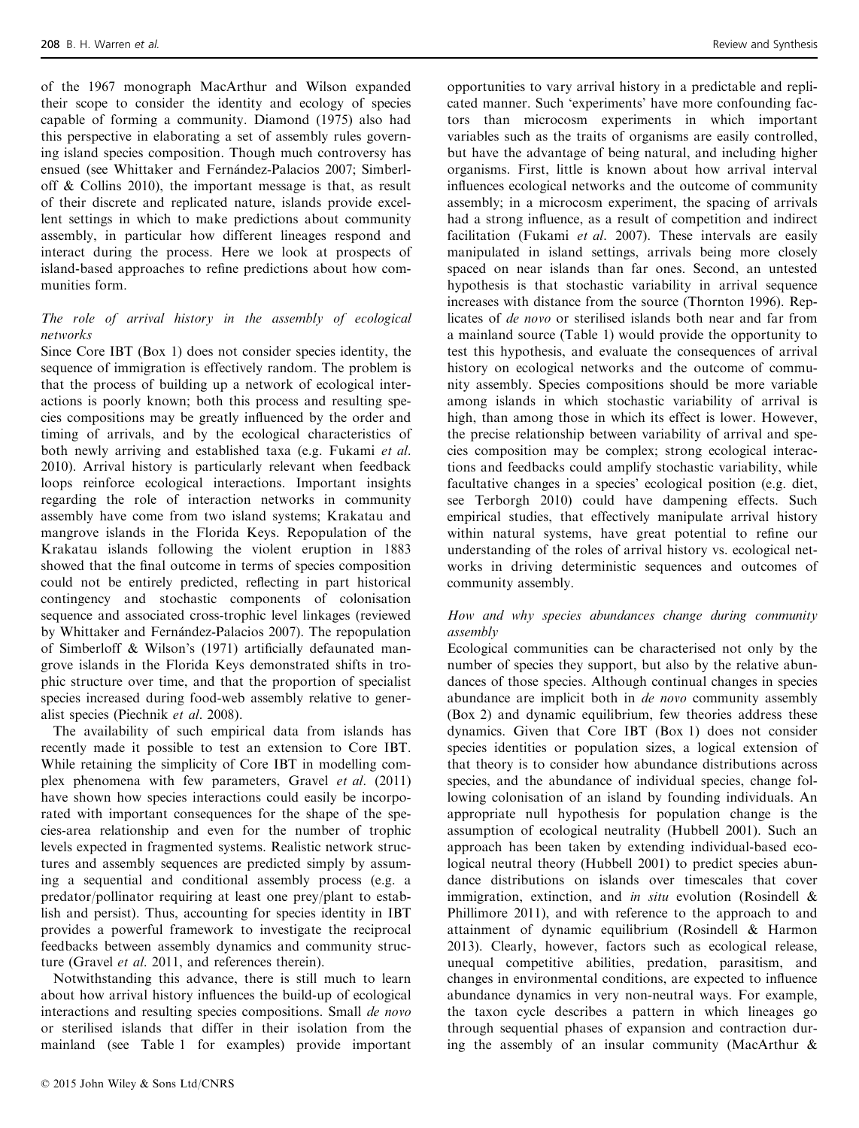of the 1967 monograph MacArthur and Wilson expanded their scope to consider the identity and ecology of species capable of forming a community. Diamond (1975) also had this perspective in elaborating a set of assembly rules governing island species composition. Though much controversy has ensued (see Whittaker and Fernández-Palacios 2007; Simberloff & Collins 2010), the important message is that, as result of their discrete and replicated nature, islands provide excellent settings in which to make predictions about community assembly, in particular how different lineages respond and interact during the process. Here we look at prospects of island-based approaches to refine predictions about how communities form.

# The role of arrival history in the assembly of ecological networks

Since Core IBT (Box 1) does not consider species identity, the sequence of immigration is effectively random. The problem is that the process of building up a network of ecological interactions is poorly known; both this process and resulting species compositions may be greatly influenced by the order and timing of arrivals, and by the ecological characteristics of both newly arriving and established taxa (e.g. Fukami et al. 2010). Arrival history is particularly relevant when feedback loops reinforce ecological interactions. Important insights regarding the role of interaction networks in community assembly have come from two island systems; Krakatau and mangrove islands in the Florida Keys. Repopulation of the Krakatau islands following the violent eruption in 1883 showed that the final outcome in terms of species composition could not be entirely predicted, reflecting in part historical contingency and stochastic components of colonisation sequence and associated cross-trophic level linkages (reviewed by Whittaker and Fernández-Palacios 2007). The repopulation of Simberloff & Wilson's (1971) artificially defaunated mangrove islands in the Florida Keys demonstrated shifts in trophic structure over time, and that the proportion of specialist species increased during food-web assembly relative to generalist species (Piechnik et al. 2008).

The availability of such empirical data from islands has recently made it possible to test an extension to Core IBT. While retaining the simplicity of Core IBT in modelling complex phenomena with few parameters, Gravel et al. (2011) have shown how species interactions could easily be incorporated with important consequences for the shape of the species-area relationship and even for the number of trophic levels expected in fragmented systems. Realistic network structures and assembly sequences are predicted simply by assuming a sequential and conditional assembly process (e.g. a predator/pollinator requiring at least one prey/plant to establish and persist). Thus, accounting for species identity in IBT provides a powerful framework to investigate the reciprocal feedbacks between assembly dynamics and community structure (Gravel *et al.* 2011, and references therein).

Notwithstanding this advance, there is still much to learn about how arrival history influences the build-up of ecological interactions and resulting species compositions. Small de novo or sterilised islands that differ in their isolation from the mainland (see Table 1 for examples) provide important

opportunities to vary arrival history in a predictable and replicated manner. Such 'experiments' have more confounding factors than microcosm experiments in which important variables such as the traits of organisms are easily controlled, but have the advantage of being natural, and including higher organisms. First, little is known about how arrival interval influences ecological networks and the outcome of community assembly; in a microcosm experiment, the spacing of arrivals had a strong influence, as a result of competition and indirect facilitation (Fukami et al. 2007). These intervals are easily manipulated in island settings, arrivals being more closely spaced on near islands than far ones. Second, an untested hypothesis is that stochastic variability in arrival sequence increases with distance from the source (Thornton 1996). Replicates of de novo or sterilised islands both near and far from a mainland source (Table 1) would provide the opportunity to test this hypothesis, and evaluate the consequences of arrival history on ecological networks and the outcome of community assembly. Species compositions should be more variable among islands in which stochastic variability of arrival is high, than among those in which its effect is lower. However, the precise relationship between variability of arrival and species composition may be complex; strong ecological interactions and feedbacks could amplify stochastic variability, while facultative changes in a species' ecological position (e.g. diet, see Terborgh 2010) could have dampening effects. Such empirical studies, that effectively manipulate arrival history within natural systems, have great potential to refine our understanding of the roles of arrival history vs. ecological networks in driving deterministic sequences and outcomes of community assembly.

# How and why species abundances change during community assembly

Ecological communities can be characterised not only by the number of species they support, but also by the relative abundances of those species. Although continual changes in species abundance are implicit both in de novo community assembly (Box 2) and dynamic equilibrium, few theories address these dynamics. Given that Core IBT (Box 1) does not consider species identities or population sizes, a logical extension of that theory is to consider how abundance distributions across species, and the abundance of individual species, change following colonisation of an island by founding individuals. An appropriate null hypothesis for population change is the assumption of ecological neutrality (Hubbell 2001). Such an approach has been taken by extending individual-based ecological neutral theory (Hubbell 2001) to predict species abundance distributions on islands over timescales that cover immigration, extinction, and in situ evolution (Rosindell & Phillimore 2011), and with reference to the approach to and attainment of dynamic equilibrium (Rosindell & Harmon 2013). Clearly, however, factors such as ecological release, unequal competitive abilities, predation, parasitism, and changes in environmental conditions, are expected to influence abundance dynamics in very non-neutral ways. For example, the taxon cycle describes a pattern in which lineages go through sequential phases of expansion and contraction during the assembly of an insular community (MacArthur &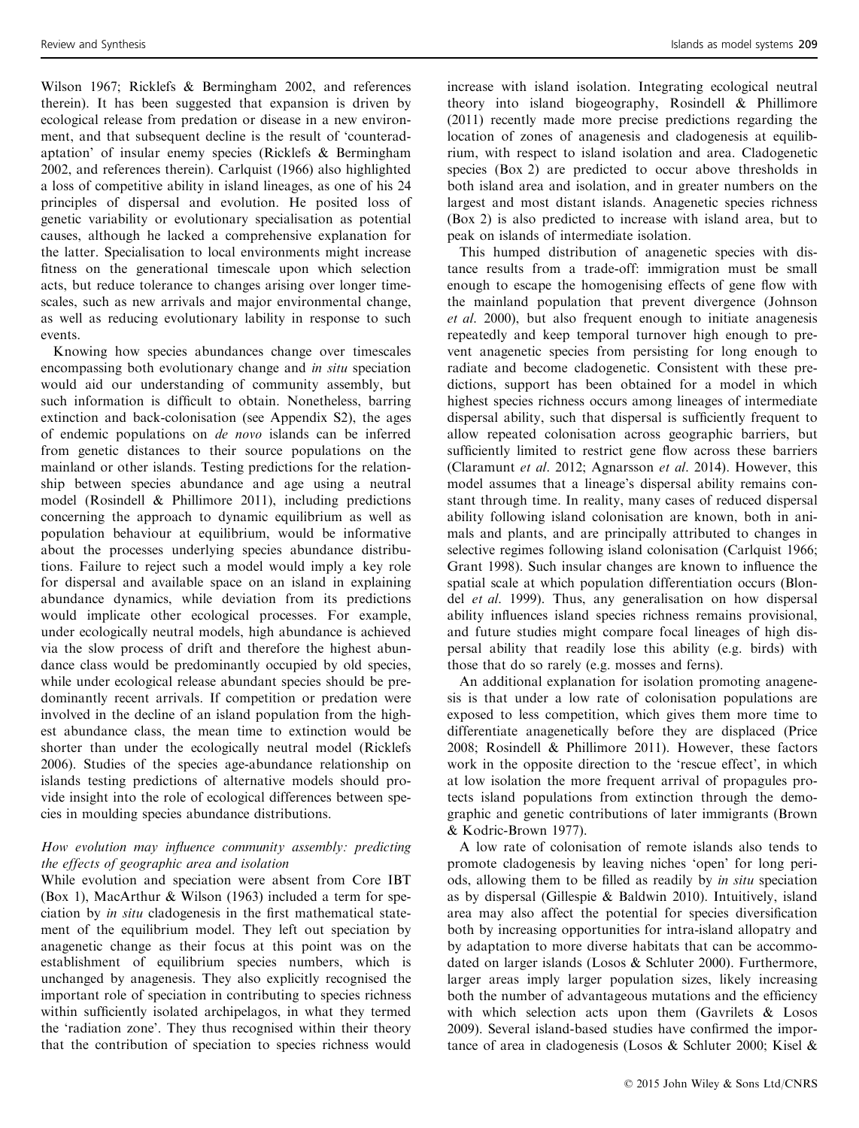Wilson 1967; Ricklefs & Bermingham 2002, and references therein). It has been suggested that expansion is driven by ecological release from predation or disease in a new environment, and that subsequent decline is the result of 'counteradaptation' of insular enemy species (Ricklefs & Bermingham 2002, and references therein). Carlquist (1966) also highlighted a loss of competitive ability in island lineages, as one of his 24 principles of dispersal and evolution. He posited loss of genetic variability or evolutionary specialisation as potential causes, although he lacked a comprehensive explanation for the latter. Specialisation to local environments might increase fitness on the generational timescale upon which selection acts, but reduce tolerance to changes arising over longer timescales, such as new arrivals and major environmental change, as well as reducing evolutionary lability in response to such events.

Knowing how species abundances change over timescales encompassing both evolutionary change and in situ speciation would aid our understanding of community assembly, but such information is difficult to obtain. Nonetheless, barring extinction and back-colonisation (see Appendix S2), the ages of endemic populations on de novo islands can be inferred from genetic distances to their source populations on the mainland or other islands. Testing predictions for the relationship between species abundance and age using a neutral model (Rosindell & Phillimore 2011), including predictions concerning the approach to dynamic equilibrium as well as population behaviour at equilibrium, would be informative about the processes underlying species abundance distributions. Failure to reject such a model would imply a key role for dispersal and available space on an island in explaining abundance dynamics, while deviation from its predictions would implicate other ecological processes. For example, under ecologically neutral models, high abundance is achieved via the slow process of drift and therefore the highest abundance class would be predominantly occupied by old species, while under ecological release abundant species should be predominantly recent arrivals. If competition or predation were involved in the decline of an island population from the highest abundance class, the mean time to extinction would be shorter than under the ecologically neutral model (Ricklefs 2006). Studies of the species age-abundance relationship on islands testing predictions of alternative models should provide insight into the role of ecological differences between species in moulding species abundance distributions.

# How evolution may influence community assembly: predicting the effects of geographic area and isolation

While evolution and speciation were absent from Core IBT (Box 1), MacArthur & Wilson (1963) included a term for speciation by in situ cladogenesis in the first mathematical statement of the equilibrium model. They left out speciation by anagenetic change as their focus at this point was on the establishment of equilibrium species numbers, which is unchanged by anagenesis. They also explicitly recognised the important role of speciation in contributing to species richness within sufficiently isolated archipelagos, in what they termed the 'radiation zone'. They thus recognised within their theory that the contribution of speciation to species richness would

increase with island isolation. Integrating ecological neutral theory into island biogeography, Rosindell & Phillimore (2011) recently made more precise predictions regarding the location of zones of anagenesis and cladogenesis at equilibrium, with respect to island isolation and area. Cladogenetic species (Box 2) are predicted to occur above thresholds in both island area and isolation, and in greater numbers on the largest and most distant islands. Anagenetic species richness (Box 2) is also predicted to increase with island area, but to peak on islands of intermediate isolation.

This humped distribution of anagenetic species with distance results from a trade-off: immigration must be small enough to escape the homogenising effects of gene flow with the mainland population that prevent divergence (Johnson et al. 2000), but also frequent enough to initiate anagenesis repeatedly and keep temporal turnover high enough to prevent anagenetic species from persisting for long enough to radiate and become cladogenetic. Consistent with these predictions, support has been obtained for a model in which highest species richness occurs among lineages of intermediate dispersal ability, such that dispersal is sufficiently frequent to allow repeated colonisation across geographic barriers, but sufficiently limited to restrict gene flow across these barriers (Claramunt et al. 2012; Agnarsson et al. 2014). However, this model assumes that a lineage's dispersal ability remains constant through time. In reality, many cases of reduced dispersal ability following island colonisation are known, both in animals and plants, and are principally attributed to changes in selective regimes following island colonisation (Carlquist 1966; Grant 1998). Such insular changes are known to influence the spatial scale at which population differentiation occurs (Blondel et al. 1999). Thus, any generalisation on how dispersal ability influences island species richness remains provisional, and future studies might compare focal lineages of high dispersal ability that readily lose this ability (e.g. birds) with those that do so rarely (e.g. mosses and ferns).

An additional explanation for isolation promoting anagenesis is that under a low rate of colonisation populations are exposed to less competition, which gives them more time to differentiate anagenetically before they are displaced (Price 2008; Rosindell & Phillimore 2011). However, these factors work in the opposite direction to the 'rescue effect', in which at low isolation the more frequent arrival of propagules protects island populations from extinction through the demographic and genetic contributions of later immigrants (Brown & Kodric-Brown 1977).

A low rate of colonisation of remote islands also tends to promote cladogenesis by leaving niches 'open' for long periods, allowing them to be filled as readily by in situ speciation as by dispersal (Gillespie & Baldwin 2010). Intuitively, island area may also affect the potential for species diversification both by increasing opportunities for intra-island allopatry and by adaptation to more diverse habitats that can be accommodated on larger islands (Losos & Schluter 2000). Furthermore, larger areas imply larger population sizes, likely increasing both the number of advantageous mutations and the efficiency with which selection acts upon them (Gavrilets & Losos 2009). Several island-based studies have confirmed the importance of area in cladogenesis (Losos & Schluter 2000; Kisel &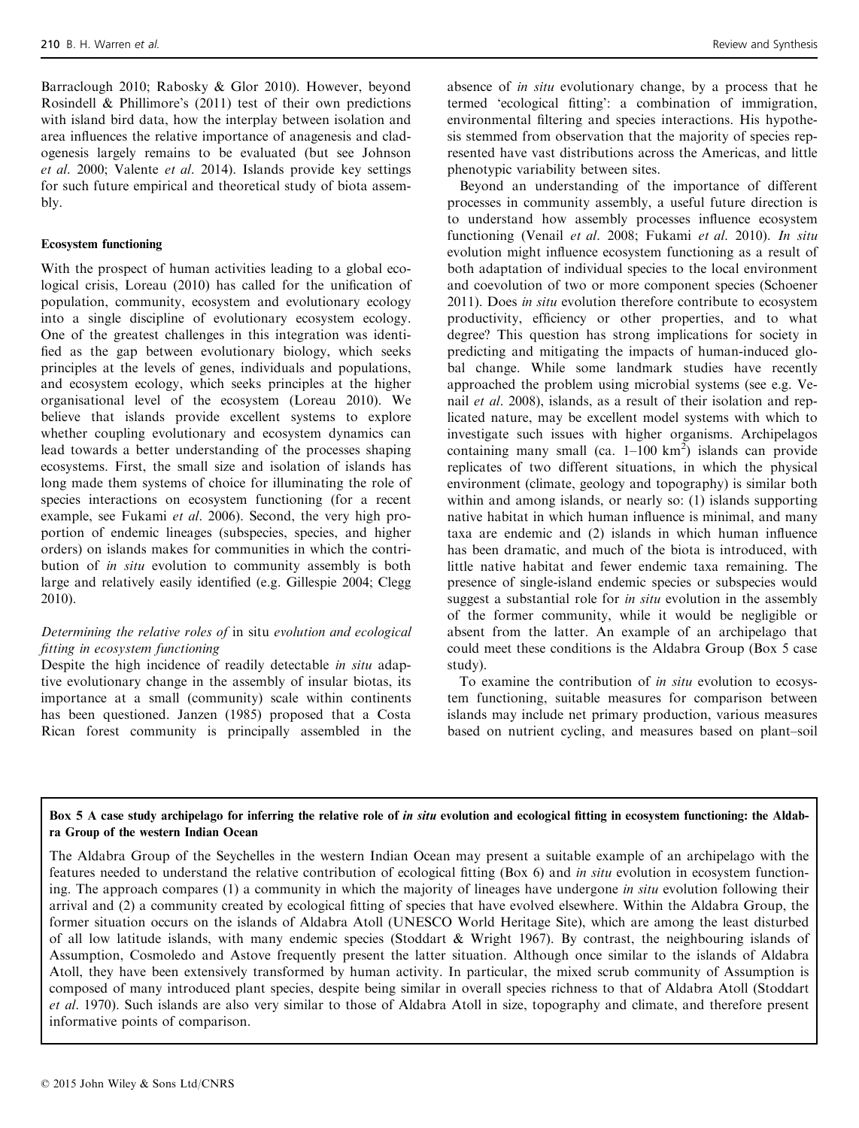Barraclough 2010; Rabosky & Glor 2010). However, beyond Rosindell & Phillimore's (2011) test of their own predictions with island bird data, how the interplay between isolation and area influences the relative importance of anagenesis and cladogenesis largely remains to be evaluated (but see Johnson et al. 2000; Valente et al. 2014). Islands provide key settings for such future empirical and theoretical study of biota assembly.

# Ecosystem functioning

With the prospect of human activities leading to a global ecological crisis, Loreau (2010) has called for the unification of population, community, ecosystem and evolutionary ecology into a single discipline of evolutionary ecosystem ecology. One of the greatest challenges in this integration was identified as the gap between evolutionary biology, which seeks principles at the levels of genes, individuals and populations, and ecosystem ecology, which seeks principles at the higher organisational level of the ecosystem (Loreau 2010). We believe that islands provide excellent systems to explore whether coupling evolutionary and ecosystem dynamics can lead towards a better understanding of the processes shaping ecosystems. First, the small size and isolation of islands has long made them systems of choice for illuminating the role of species interactions on ecosystem functioning (for a recent example, see Fukami et al. 2006). Second, the very high proportion of endemic lineages (subspecies, species, and higher orders) on islands makes for communities in which the contribution of in situ evolution to community assembly is both large and relatively easily identified (e.g. Gillespie 2004; Clegg 2010).

# Determining the relative roles of in situ evolution and ecological fitting in ecosystem functioning

Despite the high incidence of readily detectable in situ adaptive evolutionary change in the assembly of insular biotas, its importance at a small (community) scale within continents has been questioned. Janzen (1985) proposed that a Costa Rican forest community is principally assembled in the

absence of in situ evolutionary change, by a process that he termed 'ecological fitting': a combination of immigration, environmental filtering and species interactions. His hypothesis stemmed from observation that the majority of species represented have vast distributions across the Americas, and little phenotypic variability between sites.

Beyond an understanding of the importance of different processes in community assembly, a useful future direction is to understand how assembly processes influence ecosystem functioning (Venail et al. 2008; Fukami et al. 2010). In situ evolution might influence ecosystem functioning as a result of both adaptation of individual species to the local environment and coevolution of two or more component species (Schoener 2011). Does in situ evolution therefore contribute to ecosystem productivity, efficiency or other properties, and to what degree? This question has strong implications for society in predicting and mitigating the impacts of human-induced global change. While some landmark studies have recently approached the problem using microbial systems (see e.g. Venail et al. 2008), islands, as a result of their isolation and replicated nature, may be excellent model systems with which to investigate such issues with higher organisms. Archipelagos containing many small (ca.  $1-100 \text{ km}^2$ ) islands can provide replicates of two different situations, in which the physical environment (climate, geology and topography) is similar both within and among islands, or nearly so: (1) islands supporting native habitat in which human influence is minimal, and many taxa are endemic and (2) islands in which human influence has been dramatic, and much of the biota is introduced, with little native habitat and fewer endemic taxa remaining. The presence of single-island endemic species or subspecies would suggest a substantial role for *in situ* evolution in the assembly of the former community, while it would be negligible or absent from the latter. An example of an archipelago that could meet these conditions is the Aldabra Group (Box 5 case study).

To examine the contribution of in situ evolution to ecosystem functioning, suitable measures for comparison between islands may include net primary production, various measures based on nutrient cycling, and measures based on plant–soil

# Box 5 A case study archipelago for inferring the relative role of in situ evolution and ecological fitting in ecosystem functioning: the Aldabra Group of the western Indian Ocean

The Aldabra Group of the Seychelles in the western Indian Ocean may present a suitable example of an archipelago with the features needed to understand the relative contribution of ecological fitting (Box 6) and in situ evolution in ecosystem functioning. The approach compares (1) a community in which the majority of lineages have undergone in situ evolution following their arrival and (2) a community created by ecological fitting of species that have evolved elsewhere. Within the Aldabra Group, the former situation occurs on the islands of Aldabra Atoll (UNESCO World Heritage Site), which are among the least disturbed of all low latitude islands, with many endemic species (Stoddart & Wright 1967). By contrast, the neighbouring islands of Assumption, Cosmoledo and Astove frequently present the latter situation. Although once similar to the islands of Aldabra Atoll, they have been extensively transformed by human activity. In particular, the mixed scrub community of Assumption is composed of many introduced plant species, despite being similar in overall species richness to that of Aldabra Atoll (Stoddart et al. 1970). Such islands are also very similar to those of Aldabra Atoll in size, topography and climate, and therefore present informative points of comparison.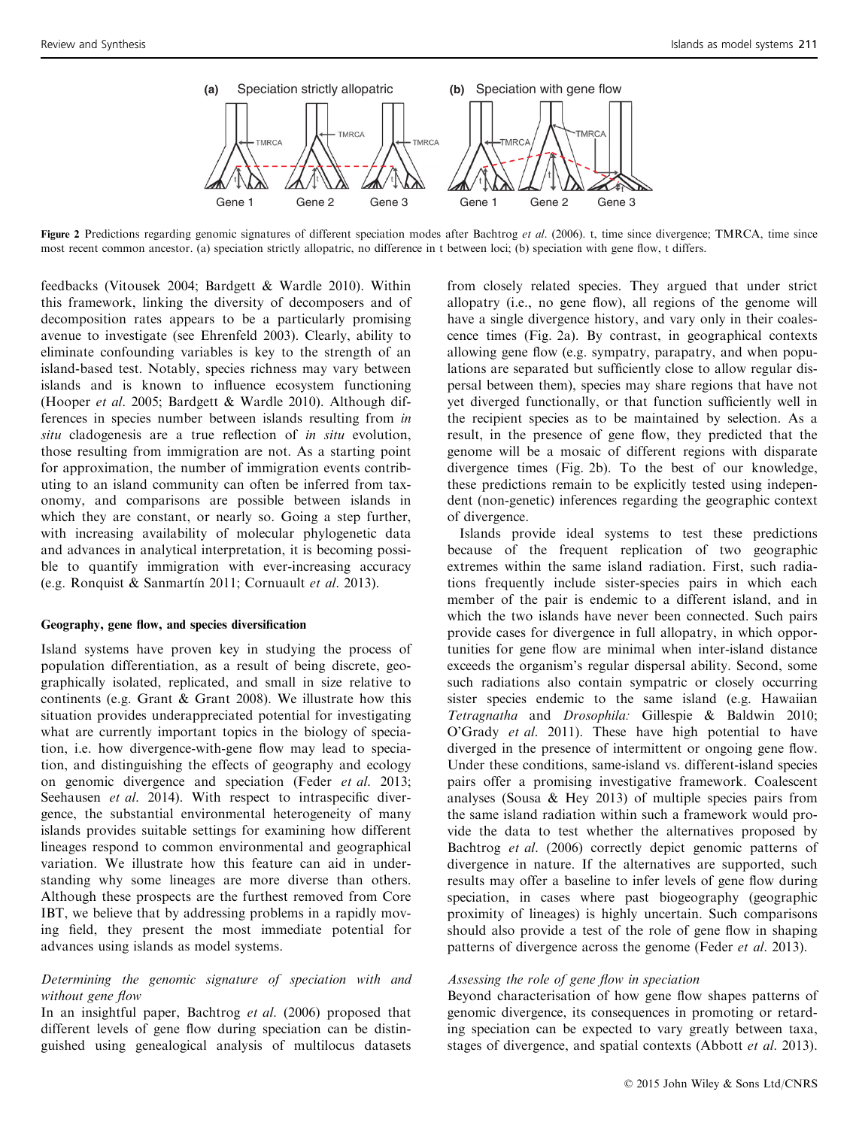

Figure 2 Predictions regarding genomic signatures of different speciation modes after Bachtrog et al. (2006), t, time since divergence; TMRCA, time since most recent common ancestor. (a) speciation strictly allopatric, no difference in t between loci; (b) speciation with gene flow, t differs.

feedbacks (Vitousek 2004; Bardgett & Wardle 2010). Within this framework, linking the diversity of decomposers and of decomposition rates appears to be a particularly promising avenue to investigate (see Ehrenfeld 2003). Clearly, ability to eliminate confounding variables is key to the strength of an island-based test. Notably, species richness may vary between islands and is known to influence ecosystem functioning (Hooper et al. 2005; Bardgett & Wardle 2010). Although differences in species number between islands resulting from in situ cladogenesis are a true reflection of in situ evolution, those resulting from immigration are not. As a starting point for approximation, the number of immigration events contributing to an island community can often be inferred from taxonomy, and comparisons are possible between islands in which they are constant, or nearly so. Going a step further, with increasing availability of molecular phylogenetic data and advances in analytical interpretation, it is becoming possible to quantify immigration with ever-increasing accuracy (e.g. Ronquist & Sanmartín 2011; Cornuault et al. 2013).

#### Geography, gene flow, and species diversification

Island systems have proven key in studying the process of population differentiation, as a result of being discrete, geographically isolated, replicated, and small in size relative to continents (e.g. Grant & Grant 2008). We illustrate how this situation provides underappreciated potential for investigating what are currently important topics in the biology of speciation, i.e. how divergence-with-gene flow may lead to speciation, and distinguishing the effects of geography and ecology on genomic divergence and speciation (Feder et al. 2013; Seehausen et al. 2014). With respect to intraspecific divergence, the substantial environmental heterogeneity of many islands provides suitable settings for examining how different lineages respond to common environmental and geographical variation. We illustrate how this feature can aid in understanding why some lineages are more diverse than others. Although these prospects are the furthest removed from Core IBT, we believe that by addressing problems in a rapidly moving field, they present the most immediate potential for advances using islands as model systems.

# Determining the genomic signature of speciation with and without gene flow

In an insightful paper, Bachtrog et al. (2006) proposed that different levels of gene flow during speciation can be distinguished using genealogical analysis of multilocus datasets from closely related species. They argued that under strict allopatry (i.e., no gene flow), all regions of the genome will have a single divergence history, and vary only in their coalescence times (Fig. 2a). By contrast, in geographical contexts allowing gene flow (e.g. sympatry, parapatry, and when populations are separated but sufficiently close to allow regular dispersal between them), species may share regions that have not yet diverged functionally, or that function sufficiently well in the recipient species as to be maintained by selection. As a result, in the presence of gene flow, they predicted that the genome will be a mosaic of different regions with disparate divergence times (Fig. 2b). To the best of our knowledge, these predictions remain to be explicitly tested using independent (non-genetic) inferences regarding the geographic context of divergence.

Islands provide ideal systems to test these predictions because of the frequent replication of two geographic extremes within the same island radiation. First, such radiations frequently include sister-species pairs in which each member of the pair is endemic to a different island, and in which the two islands have never been connected. Such pairs provide cases for divergence in full allopatry, in which opportunities for gene flow are minimal when inter-island distance exceeds the organism's regular dispersal ability. Second, some such radiations also contain sympatric or closely occurring sister species endemic to the same island (e.g. Hawaiian Tetragnatha and Drosophila: Gillespie & Baldwin 2010; O'Grady et al. 2011). These have high potential to have diverged in the presence of intermittent or ongoing gene flow. Under these conditions, same-island vs. different-island species pairs offer a promising investigative framework. Coalescent analyses (Sousa & Hey 2013) of multiple species pairs from the same island radiation within such a framework would provide the data to test whether the alternatives proposed by Bachtrog et al. (2006) correctly depict genomic patterns of divergence in nature. If the alternatives are supported, such results may offer a baseline to infer levels of gene flow during speciation, in cases where past biogeography (geographic proximity of lineages) is highly uncertain. Such comparisons should also provide a test of the role of gene flow in shaping patterns of divergence across the genome (Feder et al. 2013).

#### Assessing the role of gene flow in speciation

Beyond characterisation of how gene flow shapes patterns of genomic divergence, its consequences in promoting or retarding speciation can be expected to vary greatly between taxa, stages of divergence, and spatial contexts (Abbott et al. 2013).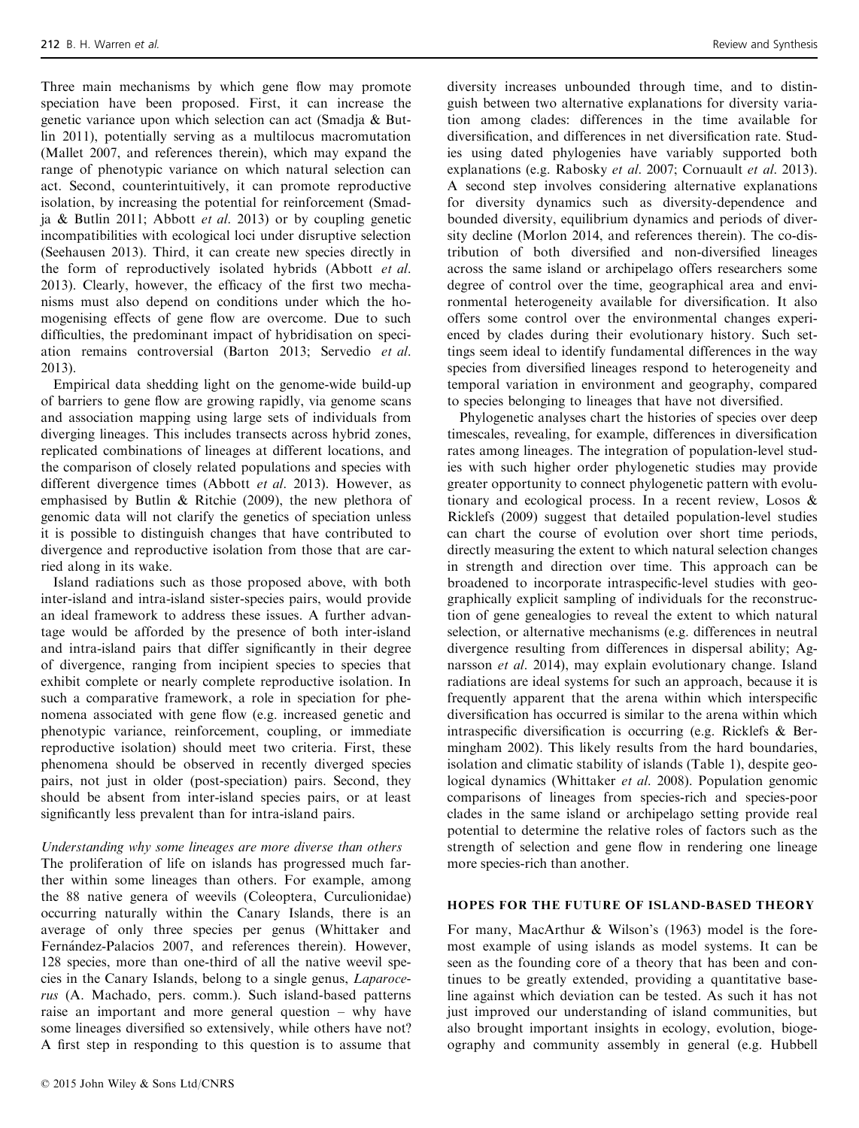Three main mechanisms by which gene flow may promote speciation have been proposed. First, it can increase the genetic variance upon which selection can act (Smadja & Butlin 2011), potentially serving as a multilocus macromutation (Mallet 2007, and references therein), which may expand the range of phenotypic variance on which natural selection can act. Second, counterintuitively, it can promote reproductive isolation, by increasing the potential for reinforcement (Smadja & Butlin 2011; Abbott *et al.* 2013) or by coupling genetic incompatibilities with ecological loci under disruptive selection (Seehausen 2013). Third, it can create new species directly in the form of reproductively isolated hybrids (Abbott et al. 2013). Clearly, however, the efficacy of the first two mechanisms must also depend on conditions under which the homogenising effects of gene flow are overcome. Due to such difficulties, the predominant impact of hybridisation on speciation remains controversial (Barton 2013; Servedio et al. 2013).

Empirical data shedding light on the genome-wide build-up of barriers to gene flow are growing rapidly, via genome scans and association mapping using large sets of individuals from diverging lineages. This includes transects across hybrid zones, replicated combinations of lineages at different locations, and the comparison of closely related populations and species with different divergence times (Abbott et al. 2013). However, as emphasised by Butlin & Ritchie (2009), the new plethora of genomic data will not clarify the genetics of speciation unless it is possible to distinguish changes that have contributed to divergence and reproductive isolation from those that are carried along in its wake.

Island radiations such as those proposed above, with both inter-island and intra-island sister-species pairs, would provide an ideal framework to address these issues. A further advantage would be afforded by the presence of both inter-island and intra-island pairs that differ significantly in their degree of divergence, ranging from incipient species to species that exhibit complete or nearly complete reproductive isolation. In such a comparative framework, a role in speciation for phenomena associated with gene flow (e.g. increased genetic and phenotypic variance, reinforcement, coupling, or immediate reproductive isolation) should meet two criteria. First, these phenomena should be observed in recently diverged species pairs, not just in older (post-speciation) pairs. Second, they should be absent from inter-island species pairs, or at least significantly less prevalent than for intra-island pairs.

# Understanding why some lineages are more diverse than others

The proliferation of life on islands has progressed much farther within some lineages than others. For example, among the 88 native genera of weevils (Coleoptera, Curculionidae) occurring naturally within the Canary Islands, there is an average of only three species per genus (Whittaker and Fernández-Palacios 2007, and references therein). However, 128 species, more than one-third of all the native weevil species in the Canary Islands, belong to a single genus, Laparocerus (A. Machado, pers. comm.). Such island-based patterns raise an important and more general question – why have some lineages diversified so extensively, while others have not? A first step in responding to this question is to assume that diversity increases unbounded through time, and to distinguish between two alternative explanations for diversity variation among clades: differences in the time available for diversification, and differences in net diversification rate. Studies using dated phylogenies have variably supported both explanations (e.g. Rabosky et al. 2007; Cornuault et al. 2013). A second step involves considering alternative explanations for diversity dynamics such as diversity-dependence and bounded diversity, equilibrium dynamics and periods of diversity decline (Morlon 2014, and references therein). The co-distribution of both diversified and non-diversified lineages across the same island or archipelago offers researchers some degree of control over the time, geographical area and environmental heterogeneity available for diversification. It also offers some control over the environmental changes experienced by clades during their evolutionary history. Such settings seem ideal to identify fundamental differences in the way species from diversified lineages respond to heterogeneity and temporal variation in environment and geography, compared to species belonging to lineages that have not diversified.

Phylogenetic analyses chart the histories of species over deep timescales, revealing, for example, differences in diversification rates among lineages. The integration of population-level studies with such higher order phylogenetic studies may provide greater opportunity to connect phylogenetic pattern with evolutionary and ecological process. In a recent review, Losos & Ricklefs (2009) suggest that detailed population-level studies can chart the course of evolution over short time periods, directly measuring the extent to which natural selection changes in strength and direction over time. This approach can be broadened to incorporate intraspecific-level studies with geographically explicit sampling of individuals for the reconstruction of gene genealogies to reveal the extent to which natural selection, or alternative mechanisms (e.g. differences in neutral divergence resulting from differences in dispersal ability; Agnarsson et al. 2014), may explain evolutionary change. Island radiations are ideal systems for such an approach, because it is frequently apparent that the arena within which interspecific diversification has occurred is similar to the arena within which intraspecific diversification is occurring (e.g. Ricklefs & Bermingham 2002). This likely results from the hard boundaries, isolation and climatic stability of islands (Table 1), despite geological dynamics (Whittaker et al. 2008). Population genomic comparisons of lineages from species-rich and species-poor clades in the same island or archipelago setting provide real potential to determine the relative roles of factors such as the strength of selection and gene flow in rendering one lineage more species-rich than another.

# HOPES FOR THE FUTURE OF ISLAND-BASED THEORY

For many, MacArthur & Wilson's (1963) model is the foremost example of using islands as model systems. It can be seen as the founding core of a theory that has been and continues to be greatly extended, providing a quantitative baseline against which deviation can be tested. As such it has not just improved our understanding of island communities, but also brought important insights in ecology, evolution, biogeography and community assembly in general (e.g. Hubbell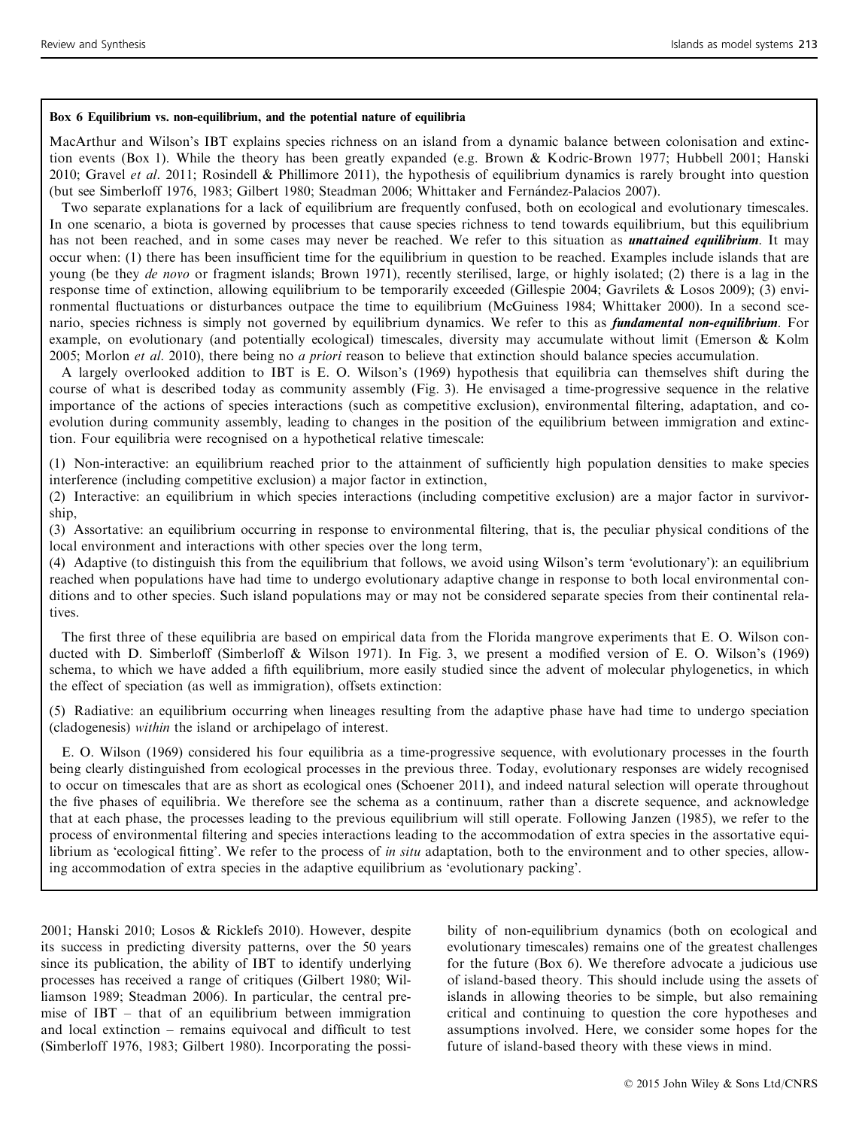#### Box 6 Equilibrium vs. non-equilibrium, and the potential nature of equilibria

MacArthur and Wilson's IBT explains species richness on an island from a dynamic balance between colonisation and extinction events (Box 1). While the theory has been greatly expanded (e.g. Brown & Kodric-Brown 1977; Hubbell 2001; Hanski 2010; Gravel et al. 2011; Rosindell & Phillimore 2011), the hypothesis of equilibrium dynamics is rarely brought into question (but see Simberloff 1976, 1983; Gilbert 1980; Steadman 2006; Whittaker and Fernandez-Palacios 2007).

Two separate explanations for a lack of equilibrium are frequently confused, both on ecological and evolutionary timescales. In one scenario, a biota is governed by processes that cause species richness to tend towards equilibrium, but this equilibrium has not been reached, and in some cases may never be reached. We refer to this situation as *unattained equilibrium*. It may occur when: (1) there has been insufficient time for the equilibrium in question to be reached. Examples include islands that are young (be they de novo or fragment islands; Brown 1971), recently sterilised, large, or highly isolated; (2) there is a lag in the response time of extinction, allowing equilibrium to be temporarily exceeded (Gillespie 2004; Gavrilets & Losos 2009); (3) environmental fluctuations or disturbances outpace the time to equilibrium (McGuiness 1984; Whittaker 2000). In a second scenario, species richness is simply not governed by equilibrium dynamics. We refer to this as *fundamental non-equilibrium*. For example, on evolutionary (and potentially ecological) timescales, diversity may accumulate without limit (Emerson & Kolm 2005; Morlon *et al.* 2010), there being no *a priori* reason to believe that extinction should balance species accumulation.

A largely overlooked addition to IBT is E. O. Wilson's (1969) hypothesis that equilibria can themselves shift during the course of what is described today as community assembly (Fig. 3). He envisaged a time-progressive sequence in the relative importance of the actions of species interactions (such as competitive exclusion), environmental filtering, adaptation, and coevolution during community assembly, leading to changes in the position of the equilibrium between immigration and extinction. Four equilibria were recognised on a hypothetical relative timescale:

(1) Non-interactive: an equilibrium reached prior to the attainment of sufficiently high population densities to make species interference (including competitive exclusion) a major factor in extinction,

(2) Interactive: an equilibrium in which species interactions (including competitive exclusion) are a major factor in survivorship,

(3) Assortative: an equilibrium occurring in response to environmental filtering, that is, the peculiar physical conditions of the local environment and interactions with other species over the long term,

(4) Adaptive (to distinguish this from the equilibrium that follows, we avoid using Wilson's term 'evolutionary'): an equilibrium reached when populations have had time to undergo evolutionary adaptive change in response to both local environmental conditions and to other species. Such island populations may or may not be considered separate species from their continental relatives.

The first three of these equilibria are based on empirical data from the Florida mangrove experiments that E. O. Wilson conducted with D. Simberloff (Simberloff & Wilson 1971). In Fig. 3, we present a modified version of E. O. Wilson's (1969) schema, to which we have added a fifth equilibrium, more easily studied since the advent of molecular phylogenetics, in which the effect of speciation (as well as immigration), offsets extinction:

(5) Radiative: an equilibrium occurring when lineages resulting from the adaptive phase have had time to undergo speciation (cladogenesis) within the island or archipelago of interest.

E. O. Wilson (1969) considered his four equilibria as a time-progressive sequence, with evolutionary processes in the fourth being clearly distinguished from ecological processes in the previous three. Today, evolutionary responses are widely recognised to occur on timescales that are as short as ecological ones (Schoener 2011), and indeed natural selection will operate throughout the five phases of equilibria. We therefore see the schema as a continuum, rather than a discrete sequence, and acknowledge that at each phase, the processes leading to the previous equilibrium will still operate. Following Janzen (1985), we refer to the process of environmental filtering and species interactions leading to the accommodation of extra species in the assortative equilibrium as 'ecological fitting'. We refer to the process of *in situ* adaptation, both to the environment and to other species, allowing accommodation of extra species in the adaptive equilibrium as 'evolutionary packing'.

2001; Hanski 2010; Losos & Ricklefs 2010). However, despite its success in predicting diversity patterns, over the 50 years since its publication, the ability of IBT to identify underlying processes has received a range of critiques (Gilbert 1980; Williamson 1989; Steadman 2006). In particular, the central premise of IBT – that of an equilibrium between immigration and local extinction – remains equivocal and difficult to test (Simberloff 1976, 1983; Gilbert 1980). Incorporating the possibility of non-equilibrium dynamics (both on ecological and evolutionary timescales) remains one of the greatest challenges for the future (Box 6). We therefore advocate a judicious use of island-based theory. This should include using the assets of islands in allowing theories to be simple, but also remaining critical and continuing to question the core hypotheses and assumptions involved. Here, we consider some hopes for the future of island-based theory with these views in mind.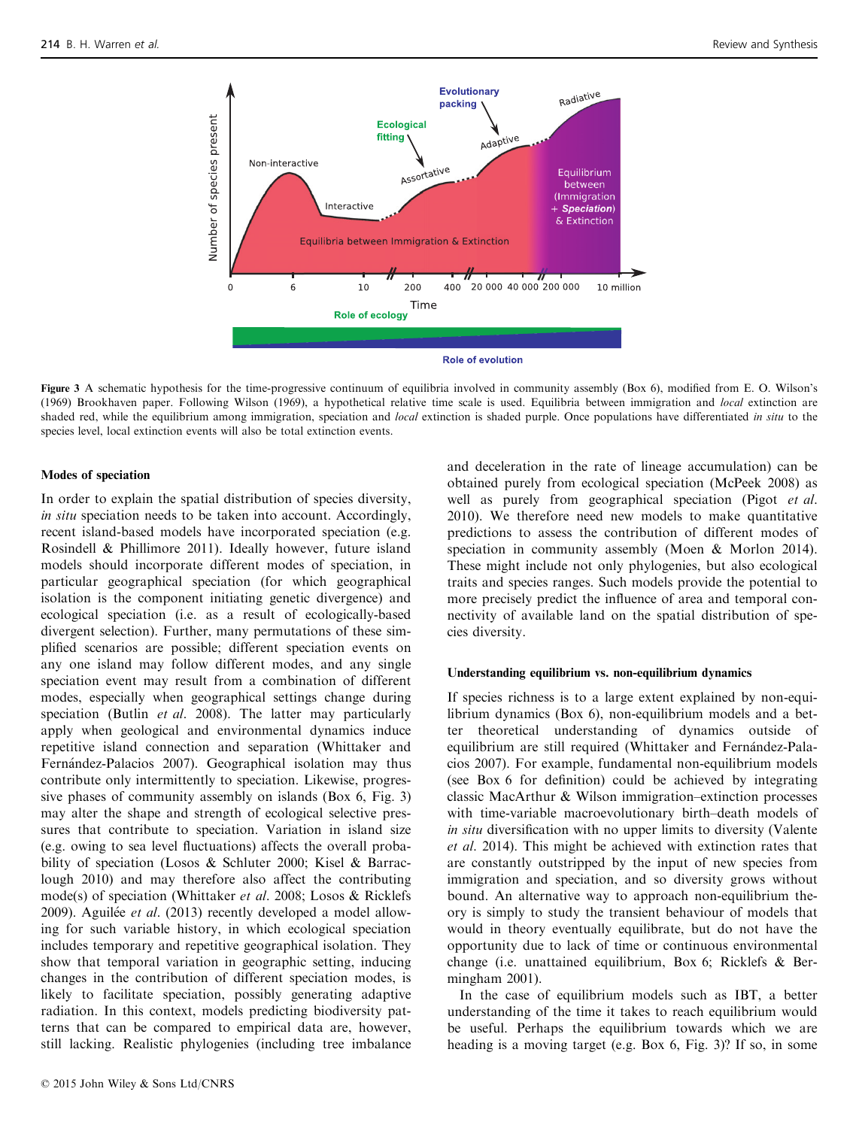

Figure 3 A schematic hypothesis for the time-progressive continuum of equilibria involved in community assembly (Box 6), modified from E. O. Wilson's (1969) Brookhaven paper. Following Wilson (1969), a hypothetical relative time scale is used. Equilibria between immigration and local extinction are shaded red, while the equilibrium among immigration, speciation and local extinction is shaded purple. Once populations have differentiated in situ to the species level, local extinction events will also be total extinction events.

#### Modes of speciation

In order to explain the spatial distribution of species diversity, in situ speciation needs to be taken into account. Accordingly, recent island-based models have incorporated speciation (e.g. Rosindell & Phillimore 2011). Ideally however, future island models should incorporate different modes of speciation, in particular geographical speciation (for which geographical isolation is the component initiating genetic divergence) and ecological speciation (i.e. as a result of ecologically-based divergent selection). Further, many permutations of these simplified scenarios are possible; different speciation events on any one island may follow different modes, and any single speciation event may result from a combination of different modes, especially when geographical settings change during speciation (Butlin et al. 2008). The latter may particularly apply when geological and environmental dynamics induce repetitive island connection and separation (Whittaker and Fernández-Palacios 2007). Geographical isolation may thus contribute only intermittently to speciation. Likewise, progressive phases of community assembly on islands (Box 6, Fig. 3) may alter the shape and strength of ecological selective pressures that contribute to speciation. Variation in island size (e.g. owing to sea level fluctuations) affects the overall probability of speciation (Losos & Schluter 2000; Kisel & Barraclough 2010) and may therefore also affect the contributing mode(s) of speciation (Whittaker et al. 2008; Losos & Ricklefs 2009). Aguilée et al.  $(2013)$  recently developed a model allowing for such variable history, in which ecological speciation includes temporary and repetitive geographical isolation. They show that temporal variation in geographic setting, inducing changes in the contribution of different speciation modes, is likely to facilitate speciation, possibly generating adaptive radiation. In this context, models predicting biodiversity patterns that can be compared to empirical data are, however, still lacking. Realistic phylogenies (including tree imbalance

and deceleration in the rate of lineage accumulation) can be obtained purely from ecological speciation (McPeek 2008) as well as purely from geographical speciation (Pigot *et al.*) 2010). We therefore need new models to make quantitative predictions to assess the contribution of different modes of speciation in community assembly (Moen & Morlon 2014). These might include not only phylogenies, but also ecological traits and species ranges. Such models provide the potential to more precisely predict the influence of area and temporal connectivity of available land on the spatial distribution of species diversity.

#### Understanding equilibrium vs. non-equilibrium dynamics

If species richness is to a large extent explained by non-equilibrium dynamics (Box 6), non-equilibrium models and a better theoretical understanding of dynamics outside of equilibrium are still required (Whittaker and Fernández-Palacios 2007). For example, fundamental non-equilibrium models (see Box 6 for definition) could be achieved by integrating classic MacArthur & Wilson immigration–extinction processes with time-variable macroevolutionary birth–death models of in situ diversification with no upper limits to diversity (Valente et al. 2014). This might be achieved with extinction rates that are constantly outstripped by the input of new species from immigration and speciation, and so diversity grows without bound. An alternative way to approach non-equilibrium theory is simply to study the transient behaviour of models that would in theory eventually equilibrate, but do not have the opportunity due to lack of time or continuous environmental change (i.e. unattained equilibrium, Box 6; Ricklefs & Bermingham 2001).

In the case of equilibrium models such as IBT, a better understanding of the time it takes to reach equilibrium would be useful. Perhaps the equilibrium towards which we are heading is a moving target (e.g. Box 6, Fig. 3)? If so, in some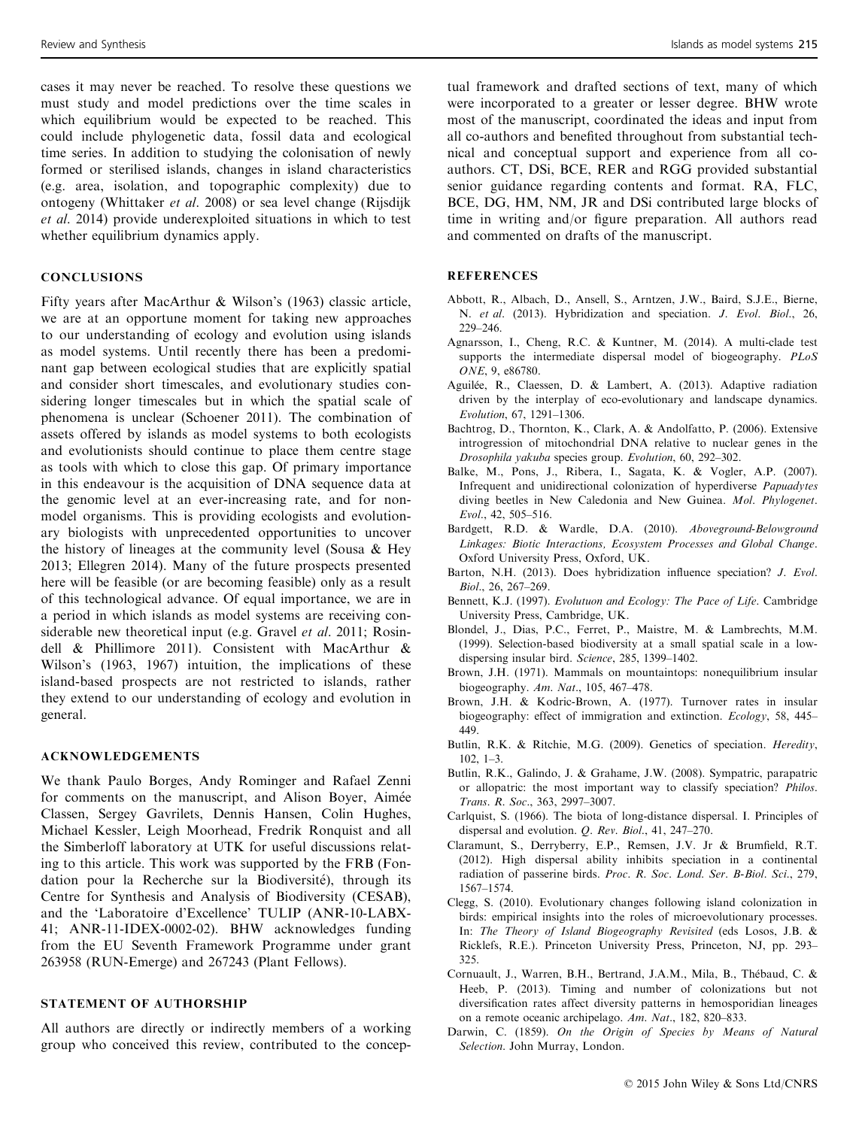cases it may never be reached. To resolve these questions we must study and model predictions over the time scales in which equilibrium would be expected to be reached. This could include phylogenetic data, fossil data and ecological time series. In addition to studying the colonisation of newly formed or sterilised islands, changes in island characteristics (e.g. area, isolation, and topographic complexity) due to ontogeny (Whittaker et al. 2008) or sea level change (Rijsdijk et al. 2014) provide underexploited situations in which to test whether equilibrium dynamics apply.

#### **CONCLUSIONS**

Fifty years after MacArthur & Wilson's (1963) classic article, we are at an opportune moment for taking new approaches to our understanding of ecology and evolution using islands as model systems. Until recently there has been a predominant gap between ecological studies that are explicitly spatial and consider short timescales, and evolutionary studies considering longer timescales but in which the spatial scale of phenomena is unclear (Schoener 2011). The combination of assets offered by islands as model systems to both ecologists and evolutionists should continue to place them centre stage as tools with which to close this gap. Of primary importance in this endeavour is the acquisition of DNA sequence data at the genomic level at an ever-increasing rate, and for nonmodel organisms. This is providing ecologists and evolutionary biologists with unprecedented opportunities to uncover the history of lineages at the community level (Sousa & Hey 2013; Ellegren 2014). Many of the future prospects presented here will be feasible (or are becoming feasible) only as a result of this technological advance. Of equal importance, we are in a period in which islands as model systems are receiving considerable new theoretical input (e.g. Gravel et al. 2011; Rosindell & Phillimore 2011). Consistent with MacArthur & Wilson's (1963, 1967) intuition, the implications of these island-based prospects are not restricted to islands, rather they extend to our understanding of ecology and evolution in general.

#### ACKNOWLEDGEMENTS

We thank Paulo Borges, Andy Rominger and Rafael Zenni for comments on the manuscript, and Alison Boyer, Aimee Classen, Sergey Gavrilets, Dennis Hansen, Colin Hughes, Michael Kessler, Leigh Moorhead, Fredrik Ronquist and all the Simberloff laboratory at UTK for useful discussions relating to this article. This work was supported by the FRB (Fondation pour la Recherche sur la Biodiversite), through its Centre for Synthesis and Analysis of Biodiversity (CESAB), and the 'Laboratoire d'Excellence' TULIP (ANR-10-LABX-41; ANR-11-IDEX-0002-02). BHW acknowledges funding from the EU Seventh Framework Programme under grant 263958 (RUN-Emerge) and 267243 (Plant Fellows).

#### STATEMENT OF AUTHORSHIP

All authors are directly or indirectly members of a working group who conceived this review, contributed to the conceptual framework and drafted sections of text, many of which were incorporated to a greater or lesser degree. BHW wrote most of the manuscript, coordinated the ideas and input from all co-authors and benefited throughout from substantial technical and conceptual support and experience from all coauthors. CT, DSi, BCE, RER and RGG provided substantial senior guidance regarding contents and format. RA, FLC, BCE, DG, HM, NM, JR and DSi contributed large blocks of time in writing and/or figure preparation. All authors read and commented on drafts of the manuscript.

## **REFERENCES**

- Abbott, R., Albach, D., Ansell, S., Arntzen, J.W., Baird, S.J.E., Bierne, N. et al. (2013). Hybridization and speciation. J. Evol. Biol., 26, 229–246.
- Agnarsson, I., Cheng, R.C. & Kuntner, M. (2014). A multi-clade test supports the intermediate dispersal model of biogeography. PLoS ONE, 9, e86780.
- Aguilee, R., Claessen, D. & Lambert, A. (2013). Adaptive radiation driven by the interplay of eco-evolutionary and landscape dynamics. Evolution, 67, 1291–1306.
- Bachtrog, D., Thornton, K., Clark, A. & Andolfatto, P. (2006). Extensive introgression of mitochondrial DNA relative to nuclear genes in the Drosophila yakuba species group. Evolution, 60, 292–302.
- Balke, M., Pons, J., Ribera, I., Sagata, K. & Vogler, A.P. (2007). Infrequent and unidirectional colonization of hyperdiverse Papuadytes diving beetles in New Caledonia and New Guinea. Mol. Phylogenet. Evol., 42, 505–516.
- Bardgett, R.D. & Wardle, D.A. (2010). Aboveground-Belowground Linkages: Biotic Interactions, Ecosystem Processes and Global Change. Oxford University Press, Oxford, UK.
- Barton, N.H. (2013). Does hybridization influence speciation? J. Evol. Biol., 26, 267–269.
- Bennett, K.J. (1997). Evolutuon and Ecology: The Pace of Life. Cambridge University Press, Cambridge, UK.
- Blondel, J., Dias, P.C., Ferret, P., Maistre, M. & Lambrechts, M.M. (1999). Selection-based biodiversity at a small spatial scale in a lowdispersing insular bird. Science, 285, 1399–1402.
- Brown, J.H. (1971). Mammals on mountaintops: nonequilibrium insular biogeography. Am. Nat., 105, 467–478.
- Brown, J.H. & Kodric-Brown, A. (1977). Turnover rates in insular biogeography: effect of immigration and extinction. Ecology, 58, 445– 449.
- Butlin, R.K. & Ritchie, M.G. (2009). Genetics of speciation. Heredity, 102, 1–3.
- Butlin, R.K., Galindo, J. & Grahame, J.W. (2008). Sympatric, parapatric or allopatric: the most important way to classify speciation? Philos. Trans. R. Soc., 363, 2997–3007.
- Carlquist, S. (1966). The biota of long-distance dispersal. I. Principles of dispersal and evolution. Q. Rev. Biol., 41, 247–270.
- Claramunt, S., Derryberry, E.P., Remsen, J.V. Jr & Brumfield, R.T. (2012). High dispersal ability inhibits speciation in a continental radiation of passerine birds. Proc. R. Soc. Lond. Ser. B-Biol. Sci., 279, 1567–1574.
- Clegg, S. (2010). Evolutionary changes following island colonization in birds: empirical insights into the roles of microevolutionary processes. In: The Theory of Island Biogeography Revisited (eds Losos, J.B. & Ricklefs, R.E.). Princeton University Press, Princeton, NJ, pp. 293– 325.
- Cornuault, J., Warren, B.H., Bertrand, J.A.M., Mila, B., Thebaud, C. & Heeb, P. (2013). Timing and number of colonizations but not diversification rates affect diversity patterns in hemosporidian lineages on a remote oceanic archipelago. Am. Nat., 182, 820–833.
- Darwin, C. (1859). On the Origin of Species by Means of Natural Selection. John Murray, London.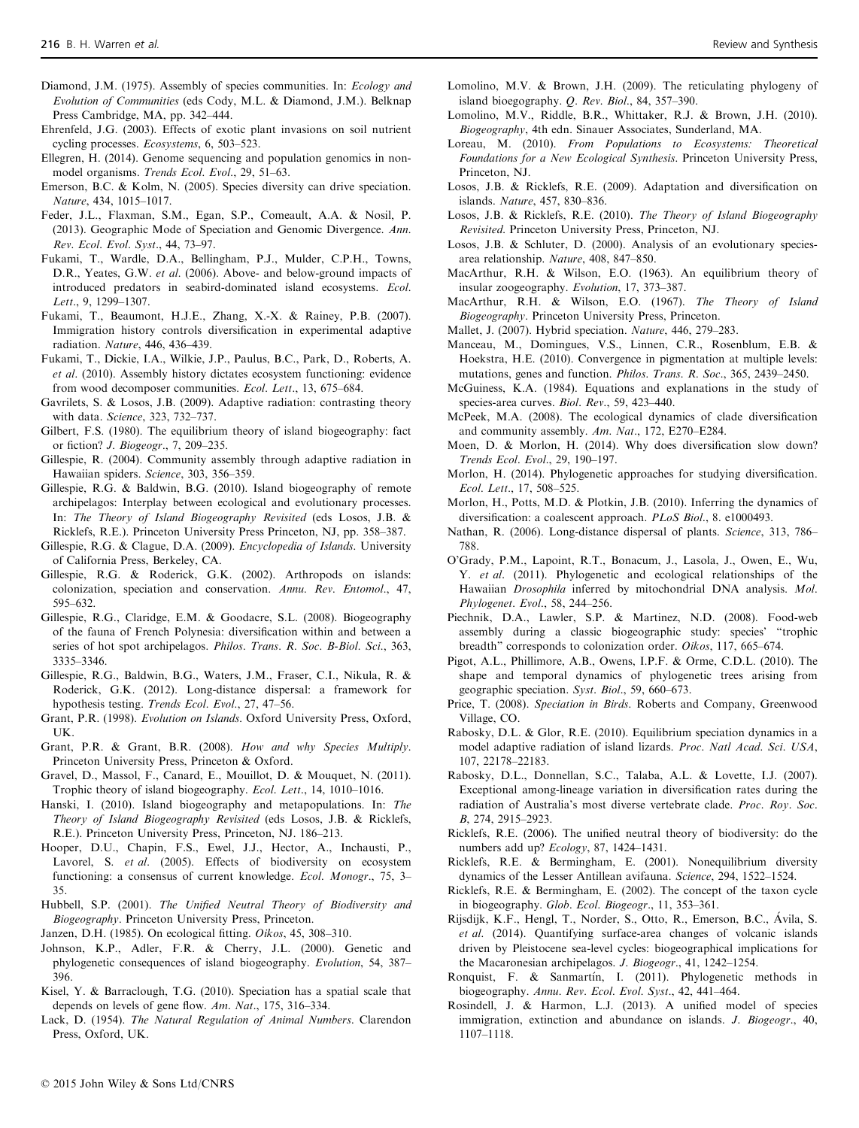- Diamond, J.M. (1975). Assembly of species communities. In: Ecology and Evolution of Communities (eds Cody, M.L. & Diamond, J.M.). Belknap Press Cambridge, MA, pp. 342–444.
- Ehrenfeld, J.G. (2003). Effects of exotic plant invasions on soil nutrient cycling processes. Ecosystems, 6, 503–523.
- Ellegren, H. (2014). Genome sequencing and population genomics in nonmodel organisms. Trends Ecol. Evol., 29, 51–63.
- Emerson, B.C. & Kolm, N. (2005). Species diversity can drive speciation. Nature, 434, 1015–1017.
- Feder, J.L., Flaxman, S.M., Egan, S.P., Comeault, A.A. & Nosil, P. (2013). Geographic Mode of Speciation and Genomic Divergence. Ann. Rev. Ecol. Evol. Syst., 44, 73–97.
- Fukami, T., Wardle, D.A., Bellingham, P.J., Mulder, C.P.H., Towns, D.R., Yeates, G.W. et al. (2006). Above- and below-ground impacts of introduced predators in seabird-dominated island ecosystems. Ecol. Lett., 9, 1299–1307.
- Fukami, T., Beaumont, H.J.E., Zhang, X.-X. & Rainey, P.B. (2007). Immigration history controls diversification in experimental adaptive radiation. Nature, 446, 436–439.
- Fukami, T., Dickie, I.A., Wilkie, J.P., Paulus, B.C., Park, D., Roberts, A. et al. (2010). Assembly history dictates ecosystem functioning: evidence from wood decomposer communities. Ecol. Lett., 13, 675–684.
- Gavrilets, S. & Losos, J.B. (2009). Adaptive radiation: contrasting theory with data. Science, 323, 732–737.
- Gilbert, F.S. (1980). The equilibrium theory of island biogeography: fact or fiction? J. Biogeogr., 7, 209–235.
- Gillespie, R. (2004). Community assembly through adaptive radiation in Hawaiian spiders. Science, 303, 356–359.
- Gillespie, R.G. & Baldwin, B.G. (2010). Island biogeography of remote archipelagos: Interplay between ecological and evolutionary processes. In: The Theory of Island Biogeography Revisited (eds Losos, J.B. & Ricklefs, R.E.). Princeton University Press Princeton, NJ, pp. 358–387.
- Gillespie, R.G. & Clague, D.A. (2009). Encyclopedia of Islands. University of California Press, Berkeley, CA.
- Gillespie, R.G. & Roderick, G.K. (2002). Arthropods on islands: colonization, speciation and conservation. Annu. Rev. Entomol., 47, 595–632.
- Gillespie, R.G., Claridge, E.M. & Goodacre, S.L. (2008). Biogeography of the fauna of French Polynesia: diversification within and between a series of hot spot archipelagos. Philos. Trans. R. Soc. B-Biol. Sci., 363, 3335–3346.
- Gillespie, R.G., Baldwin, B.G., Waters, J.M., Fraser, C.I., Nikula, R. & Roderick, G.K. (2012). Long-distance dispersal: a framework for hypothesis testing. Trends Ecol. Evol., 27, 47–56.
- Grant, P.R. (1998). Evolution on Islands. Oxford University Press, Oxford, UK.
- Grant, P.R. & Grant, B.R. (2008). How and why Species Multiply. Princeton University Press, Princeton & Oxford.
- Gravel, D., Massol, F., Canard, E., Mouillot, D. & Mouquet, N. (2011). Trophic theory of island biogeography. Ecol. Lett., 14, 1010–1016.
- Hanski, I. (2010). Island biogeography and metapopulations. In: The Theory of Island Biogeography Revisited (eds Losos, J.B. & Ricklefs, R.E.). Princeton University Press, Princeton, NJ. 186–213.
- Hooper, D.U., Chapin, F.S., Ewel, J.J., Hector, A., Inchausti, P., Lavorel, S. et al. (2005). Effects of biodiversity on ecosystem functioning: a consensus of current knowledge. Ecol. Monogr., 75, 3– 35.
- Hubbell, S.P. (2001). The Unified Neutral Theory of Biodiversity and Biogeography. Princeton University Press, Princeton.
- Janzen, D.H. (1985). On ecological fitting. Oikos, 45, 308–310.
- Johnson, K.P., Adler, F.R. & Cherry, J.L. (2000). Genetic and phylogenetic consequences of island biogeography. Evolution, 54, 387– 396.
- Kisel, Y. & Barraclough, T.G. (2010). Speciation has a spatial scale that depends on levels of gene flow. Am. Nat., 175, 316–334.
- Lack, D. (1954). The Natural Regulation of Animal Numbers. Clarendon Press, Oxford, UK.
- Lomolino, M.V. & Brown, J.H. (2009). The reticulating phylogeny of island bioegography. Q. Rev. Biol., 84, 357–390.
- Lomolino, M.V., Riddle, B.R., Whittaker, R.J. & Brown, J.H. (2010). Biogeography, 4th edn. Sinauer Associates, Sunderland, MA.
- Loreau, M. (2010). From Populations to Ecosystems: Theoretical Foundations for a New Ecological Synthesis. Princeton University Press, Princeton, NJ.
- Losos, J.B. & Ricklefs, R.E. (2009). Adaptation and diversification on islands. Nature, 457, 830–836.
- Losos, J.B. & Ricklefs, R.E. (2010). The Theory of Island Biogeography Revisited. Princeton University Press, Princeton, NJ.
- Losos, J.B. & Schluter, D. (2000). Analysis of an evolutionary speciesarea relationship. Nature, 408, 847–850.
- MacArthur, R.H. & Wilson, E.O. (1963). An equilibrium theory of insular zoogeography. Evolution, 17, 373–387.
- MacArthur, R.H. & Wilson, E.O. (1967). The Theory of Island Biogeography. Princeton University Press, Princeton.
- Mallet, J. (2007). Hybrid speciation. Nature, 446, 279–283.
- Manceau, M., Domingues, V.S., Linnen, C.R., Rosenblum, E.B. & Hoekstra, H.E. (2010). Convergence in pigmentation at multiple levels: mutations, genes and function. Philos. Trans. R. Soc., 365, 2439–2450.
- McGuiness, K.A. (1984). Equations and explanations in the study of species-area curves. Biol. Rev., 59, 423–440.
- McPeek, M.A. (2008). The ecological dynamics of clade diversification and community assembly. Am. Nat., 172, E270–E284.
- Moen, D. & Morlon, H. (2014). Why does diversification slow down? Trends Ecol. Evol., 29, 190–197.
- Morlon, H. (2014). Phylogenetic approaches for studying diversification. Ecol. Lett., 17, 508–525.
- Morlon, H., Potts, M.D. & Plotkin, J.B. (2010). Inferring the dynamics of diversification: a coalescent approach. PLoS Biol., 8. e1000493.
- Nathan, R. (2006). Long-distance dispersal of plants. Science, 313, 786– 788.
- O'Grady, P.M., Lapoint, R.T., Bonacum, J., Lasola, J., Owen, E., Wu, Y. et al. (2011). Phylogenetic and ecological relationships of the Hawaiian Drosophila inferred by mitochondrial DNA analysis. Mol. Phylogenet. Evol., 58, 244–256.
- Piechnik, D.A., Lawler, S.P. & Martinez, N.D. (2008). Food-web assembly during a classic biogeographic study: species' "trophic breadth" corresponds to colonization order. Oikos, 117, 665–674.
- Pigot, A.L., Phillimore, A.B., Owens, I.P.F. & Orme, C.D.L. (2010). The shape and temporal dynamics of phylogenetic trees arising from geographic speciation. Syst. Biol., 59, 660–673.
- Price, T. (2008). Speciation in Birds. Roberts and Company, Greenwood Village, CO.
- Rabosky, D.L. & Glor, R.E. (2010). Equilibrium speciation dynamics in a model adaptive radiation of island lizards. Proc. Natl Acad. Sci. USA, 107, 22178–22183.
- Rabosky, D.L., Donnellan, S.C., Talaba, A.L. & Lovette, I.J. (2007). Exceptional among-lineage variation in diversification rates during the radiation of Australia's most diverse vertebrate clade. Proc. Roy. Soc. B, 274, 2915–2923.
- Ricklefs, R.E. (2006). The unified neutral theory of biodiversity: do the numbers add up? Ecology, 87, 1424–1431.
- Ricklefs, R.E. & Bermingham, E. (2001). Nonequilibrium diversity dynamics of the Lesser Antillean avifauna. Science, 294, 1522–1524.
- Ricklefs, R.E. & Bermingham, E. (2002). The concept of the taxon cycle in biogeography. Glob. Ecol. Biogeogr., 11, 353–361.
- Rijsdijk, K.F., Hengl, T., Norder, S., Otto, R., Emerson, B.C., Avila, S. et al. (2014). Quantifying surface-area changes of volcanic islands driven by Pleistocene sea-level cycles: biogeographical implications for the Macaronesian archipelagos. J. Biogeogr., 41, 1242–1254.
- Ronquist, F. & Sanmartín, I. (2011). Phylogenetic methods in biogeography. Annu. Rev. Ecol. Evol. Syst., 42, 441–464.
- Rosindell, J. & Harmon, L.J. (2013). A unified model of species immigration, extinction and abundance on islands. J. Biogeogr., 40, 1107–1118.